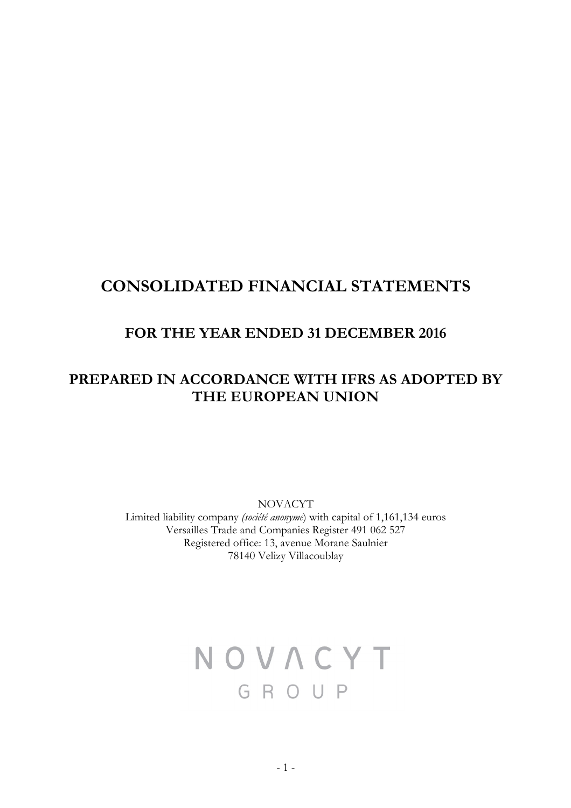# **CONSOLIDATED FINANCIAL STATEMENTS**

# **FOR THE YEAR ENDED 31 DECEMBER 2016**

# **PREPARED IN ACCORDANCE WITH IFRS AS ADOPTED BY THE EUROPEAN UNION**

NOVACYT

Limited liability company *(société anonyme*) with capital of 1,161,134 euros Versailles Trade and Companies Register 491 062 527 Registered office: 13, avenue Morane Saulnier 78140 Velizy Villacoublay

# NOVACYT GROUP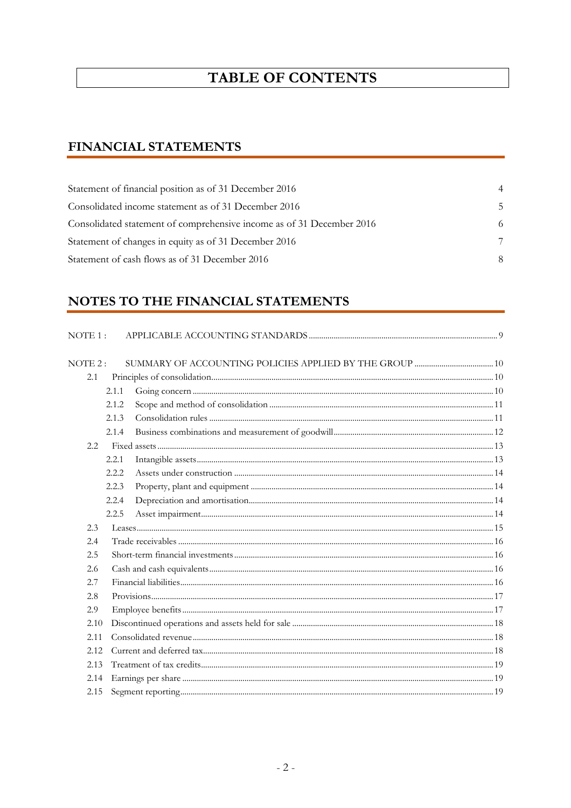# **TABLE OF CONTENTS**

# **FINANCIAL STATEMENTS**

| Statement of financial position as of 31 December 2016                | 4  |
|-----------------------------------------------------------------------|----|
| Consolidated income statement as of 31 December 2016                  | .5 |
| Consolidated statement of comprehensive income as of 31 December 2016 | 6  |
| Statement of changes in equity as of 31 December 2016                 | 7  |
| Statement of cash flows as of 31 December 2016                        | 8  |

# NOTES TO THE FINANCIAL STATEMENTS

| $NOTE1$ : |       |  |
|-----------|-------|--|
| NOTE 2:   |       |  |
| 2.1       |       |  |
|           | 2.1.1 |  |
|           | 2.1.2 |  |
|           | 2.1.3 |  |
|           | 2.1.4 |  |
| 2.2.      |       |  |
|           | 2.2.1 |  |
|           | 2.2.2 |  |
|           | 2.2.3 |  |
|           | 2.2.4 |  |
|           | 2.2.5 |  |
| 2.3       |       |  |
| 2.4       |       |  |
| 2.5       |       |  |
| 2.6       |       |  |
| 2.7       |       |  |
| 2.8       |       |  |
| 2.9       |       |  |
| 2.10      |       |  |
| 2.11      |       |  |
| 2.12      |       |  |
| 2.13      |       |  |
| 2.14      |       |  |
| 2.15      |       |  |
|           |       |  |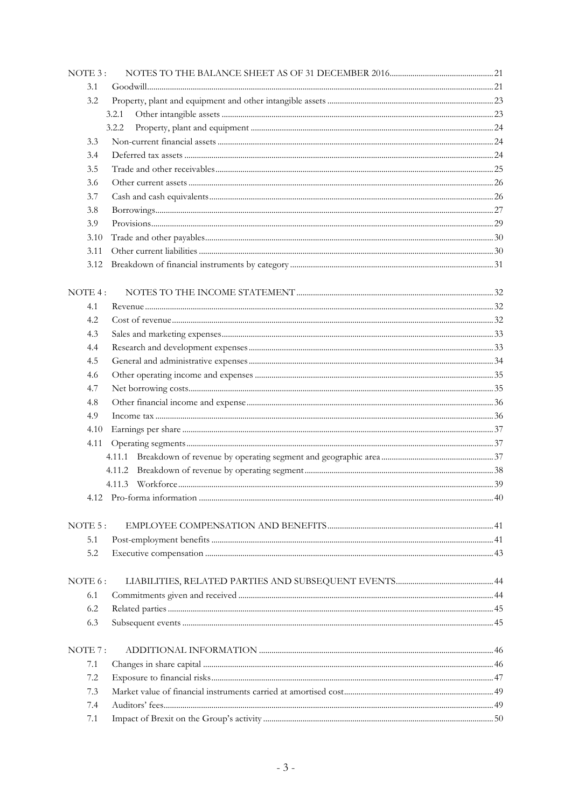| NOTE 3: |       |  |
|---------|-------|--|
| 3.1     |       |  |
| 3.2     |       |  |
|         | 3.2.1 |  |
|         | 3.2.2 |  |
| 3.3     |       |  |
| 3.4     |       |  |
| 3.5     |       |  |
| 3.6     |       |  |
| 3.7     |       |  |
| 3.8     |       |  |
| 3.9     |       |  |
| 3.10    |       |  |
| 3.11    |       |  |
| 3.12    |       |  |
|         |       |  |
| NOTE 4: |       |  |
| 4.1     |       |  |
| 4.2     |       |  |
| 4.3     |       |  |
| 4.4     |       |  |
| 4.5     |       |  |
|         |       |  |
| 4.6     |       |  |
| 4.7     |       |  |
| 4.8     |       |  |
| 4.9     |       |  |
| 4.10    |       |  |
| 4.11    |       |  |
|         |       |  |
|         |       |  |
|         |       |  |
|         |       |  |
|         |       |  |
| NOTE 5: |       |  |
| 5.1     |       |  |
| 5.2     |       |  |
|         |       |  |
| NOTE 6: |       |  |
| 6.1     |       |  |
| 6.2     |       |  |
| 6.3     |       |  |
|         |       |  |
| NOTE 7: |       |  |
| 7.1     |       |  |
| 7.2     |       |  |
| 7.3     |       |  |
| 7.4     |       |  |
| 7.1     |       |  |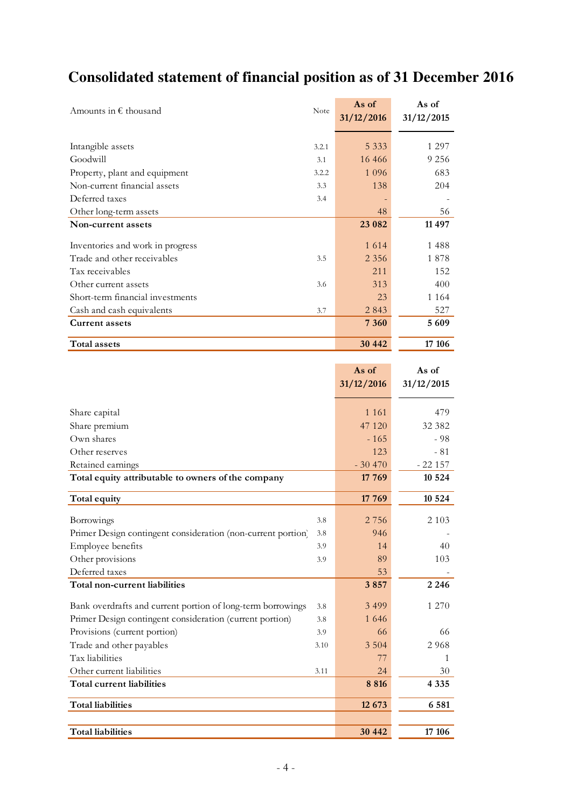# **Consolidated statement of financial position as of 31 December 2016**

j.

| Amounts in $\epsilon$ thousand   | Note  | As of<br>31/12/2016 | As of<br>31/12/2015 |
|----------------------------------|-------|---------------------|---------------------|
| Intangible assets                | 3.2.1 | 5 3 3 3             | 1 2 9 7             |
| Goodwill                         | 3.1   | 16 4 6 6            | 9 2 5 6             |
| Property, plant and equipment    | 3.2.2 | 1 0 9 6             | 683                 |
| Non-current financial assets     | 3.3   | 138                 | 204                 |
| Deferred taxes                   | 3.4   |                     |                     |
| Other long-term assets           |       | 48                  | 56                  |
| Non-current assets               |       | 23 082              | 11 497              |
| Inventones and work in progress  |       | 1 6 1 4             | 1488                |
| Trade and other receivables      | 3.5   | 2 3 5 6             | 1878                |
| Tax receivables                  |       | 211                 | 152                 |
| Other current assets             | 3.6   | 313                 | 400                 |
| Short-term financial investments |       | 23                  | 1 1 6 4             |
| Cash and cash equivalents        | 3.7   | 2843                | 527                 |
| <b>Current assets</b>            |       | 7 3 6 0             | 5609                |
| Total assets                     |       | 30 442              | 17 10 6             |

|                                                                     | As of      | As of      |
|---------------------------------------------------------------------|------------|------------|
|                                                                     | 31/12/2016 | 31/12/2015 |
|                                                                     |            |            |
| Share capital                                                       | 1 1 6 1    | 479        |
| Share premium                                                       | 47 120     | 32 382     |
| Own shares                                                          | $-165$     | $-98$      |
| Other reserves                                                      | 123        | $-81$      |
| Retained earnings                                                   | $-30470$   | $-22157$   |
| Total equity attributable to owners of the company                  | 17 769     | 10 5 24    |
| Total equity                                                        | 17 769     | 10 5 24    |
|                                                                     |            |            |
| Borrowings<br>3.8                                                   | 2 7 5 6    | 2 1 0 3    |
| Primer Design contingent consideration (non-current portion)<br>3.8 | 946        |            |
| Employee benefits<br>3.9                                            | 14         | 40         |
| Other provisions<br>3.9                                             | 89         | 103        |
| Deferred taxes                                                      | 53         |            |
| Total non-current liabilities                                       | 3857       | 2 2 4 6    |
| Bank overdrafts and current portion of long-term borrowings<br>3.8  | 3 4 9 9    | 1 270      |
| Primer Design contingent consideration (current portion)<br>3.8     | 1 646      |            |
| Provisions (current portion)<br>3.9                                 | 66         | 66         |
| Trade and other payables<br>3.10                                    | 3 5 0 4    | 2968       |
| Tax liabilities                                                     | 77         | 1          |
| Other current liabilities<br>3.11                                   | 24         | 30         |
| Total current liabilities                                           | 8 8 1 6    | 4 3 3 5    |
| <b>Total liabilities</b>                                            | 12 673     | 6 5 8 1    |
|                                                                     |            |            |
| <b>Total liabilities</b>                                            | 30 442     | 17 10 6    |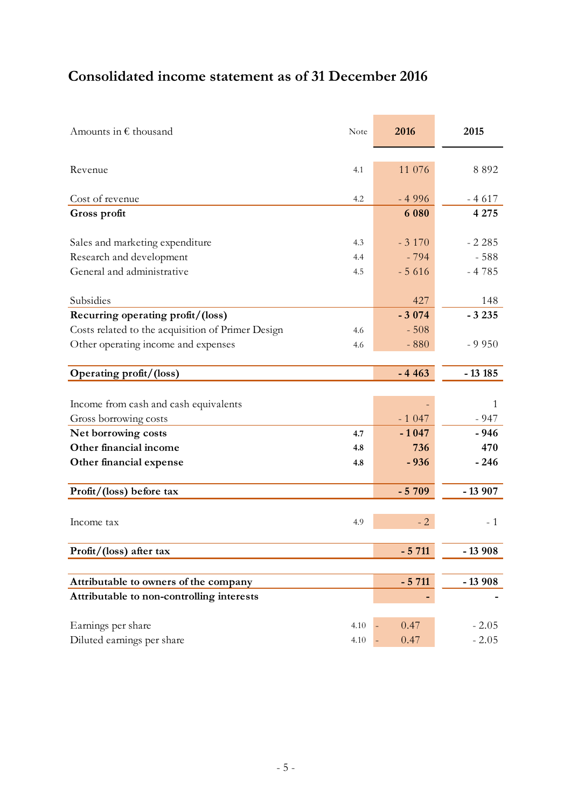# **Consolidated income statement as of 31 December 2016**

| Amounts in $\epsilon$ thousand                    | Note | 2016    | 2015     |
|---------------------------------------------------|------|---------|----------|
|                                                   |      |         |          |
| Revenue                                           | 4.1  | 11 076  | 8892     |
|                                                   |      |         |          |
| Cost of revenue                                   | 4.2  | $-4996$ | $-4617$  |
| Gross profit                                      |      | 6 0 8 0 | 4 2 7 5  |
|                                                   |      |         |          |
| Sales and marketing expenditure                   | 4.3  | $-3170$ | $-2.285$ |
| Research and development                          | 4.4  | $-794$  | $-588$   |
| General and administrative                        | 4.5  | $-5616$ | $-4785$  |
|                                                   |      |         |          |
| Subsidies                                         |      | 427     | 148      |
| Recurring operating profit/(loss)                 |      | $-3074$ | $-3235$  |
| Costs related to the acquisition of Primer Design | 4.6  | $-508$  |          |
| Other operating income and expenses               | 4.6  | $-880$  | $-9950$  |
|                                                   |      |         |          |
| Operating profit/(loss)                           |      | $-4463$ | $-13185$ |
|                                                   |      |         |          |
| Income from cash and cash equivalents             |      |         | 1        |
| Gross borrowing costs                             |      | $-1047$ | $-947$   |
| Net borrowing costs                               | 4.7  | $-1047$ | $-946$   |
| Other financial income                            | 4.8  | 736     | 470      |
| Other financial expense                           | 4.8  | $-936$  | $-246$   |
|                                                   |      |         |          |
| Profit/(loss) before tax                          |      | $-5709$ | $-13907$ |
|                                                   |      |         |          |
| Income tax                                        | 4.9  | $-2$    | - 1      |
| Profit/(loss) after tax                           |      | $-5711$ | $-13908$ |
|                                                   |      |         |          |
| Attributable to owners of the company             |      | $-5711$ | $-13908$ |
| Attributable to non-controlling interests         |      |         |          |
|                                                   |      |         |          |
| Earnings per share                                | 4.10 | 0.47    | $-2.05$  |
| Diluted earnings per share                        | 4.10 | 0.47    | $-2.05$  |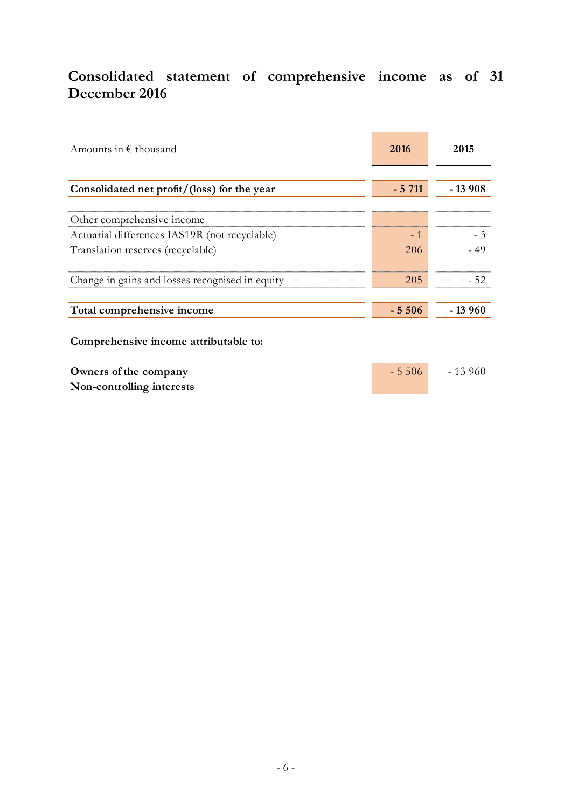# **Consolidated statement of comprehensive income as of 31 December 2016**

| Amounts in $\epsilon$ thousand                     | 2016    | 2015     |
|----------------------------------------------------|---------|----------|
| Consolidated net profit/(loss) for the year        | $-5711$ | $-13908$ |
| Other comprehensive income                         |         |          |
| Actuarial differences IAS19R (not recyclable)      | $-1$    | $-3$     |
| Translation reserves (recyclable)                  | 206     | $-49$    |
|                                                    |         |          |
| Change in gains and losses recognised in equity    | 205     | $-52$    |
| Total comprehensive income                         | $-5506$ | - 13 960 |
| Comprehensive income attributable to:              |         |          |
| Owners of the company<br>Non-controlling interests | $-5506$ | $-13960$ |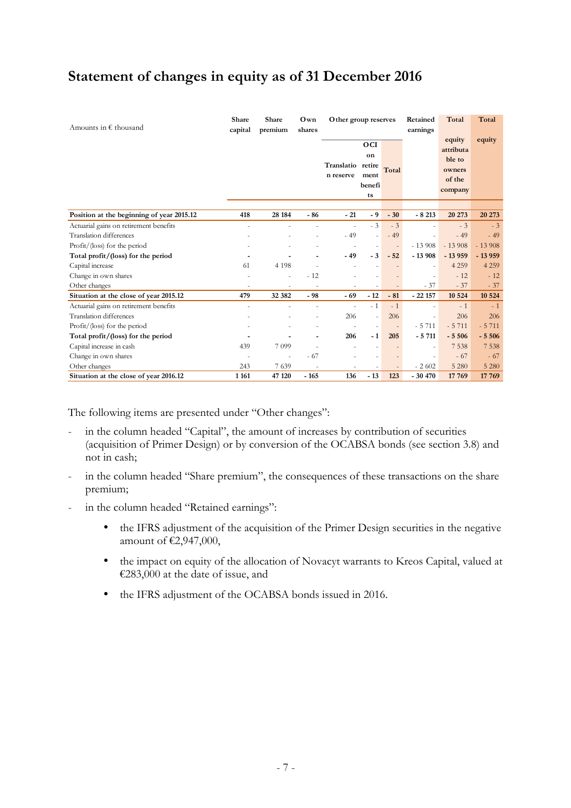# **Statement of changes in equity as of 31 December 2016**

| Amounts in $\epsilon$ thousand            | Share<br>capital         | Share<br>Own<br>Other group reserves<br>Retained<br>premium<br>earnings<br>shares |                          |                          |                                             | Total<br>equity          | Total                    |                                                    |          |
|-------------------------------------------|--------------------------|-----------------------------------------------------------------------------------|--------------------------|--------------------------|---------------------------------------------|--------------------------|--------------------------|----------------------------------------------------|----------|
|                                           |                          |                                                                                   |                          | Translatio<br>n reserve  | OCI<br>on<br>retire<br>ment<br>benefi<br>ts | Total                    |                          | attributa<br>ble to<br>owners<br>of the<br>company | equity   |
| Position at the beginning of year 2015.12 | 418                      | 28 184                                                                            | $-86$                    | $-21$                    | - 9                                         | $-30$                    | $-8213$                  | 20 273                                             | 20 273   |
| Actuarial gains on retirement benefits    |                          |                                                                                   |                          | $\overline{\phantom{a}}$ | $-3$                                        | $-3$                     |                          | $-3$                                               | $-3$     |
| Translation differences                   |                          |                                                                                   |                          | $-49$                    | ä,                                          | $-49$                    |                          | $-49$                                              | $-49$    |
| $Profit/$ (loss) for the period           |                          |                                                                                   |                          | ٠                        | $\overline{\phantom{a}}$                    | $\overline{\phantom{a}}$ | $-13908$                 | $-13908$                                           | $-13908$ |
| Total profit/(loss) for the period        |                          |                                                                                   |                          | $-49$                    | $-3$                                        | $-52$                    | $-13908$                 | $-13959$                                           | $-13959$ |
| Capital increase                          | 61                       | 4 1 9 8                                                                           |                          |                          |                                             |                          | i.                       | 4 2 5 9                                            | 4 2 5 9  |
| Change in own shares                      |                          |                                                                                   | $-12$                    |                          |                                             |                          | ä,                       | $-12$                                              | $-12$    |
| Other changes                             |                          |                                                                                   |                          |                          |                                             |                          | $-37$                    | $-37$                                              | $-37$    |
| Situation at the close of year 2015.12    | 479                      | 32 382                                                                            | $-98$                    | $-69$                    | $-12$                                       | $-81$                    | $-22157$                 | 10 5 24                                            | 10 5 24  |
| Actuarial gains on retirement benefits    | $\overline{\phantom{a}}$ |                                                                                   |                          |                          | $-1$                                        | $-1$                     |                          | $-1$                                               | $-1$     |
| <b>Translation differences</b>            |                          |                                                                                   | $\overline{\phantom{a}}$ | 206                      | $\overline{a}$                              | 206                      | $\overline{\phantom{a}}$ | 206                                                | 206      |
| $Profit/$ (loss) for the period           |                          |                                                                                   |                          |                          | $\overline{\phantom{a}}$                    | $\overline{\phantom{a}}$ | $-5711$                  | $-5711$                                            | $-5711$  |
| Total profit/(loss) for the period        |                          |                                                                                   |                          | 206                      | $-1$                                        | 205                      | $-5711$                  | $-5506$                                            | $-5506$  |
| Capital increase in cash                  | 439                      | 7 0 9 9                                                                           |                          |                          |                                             |                          |                          | 7 5 3 8                                            | 7 5 3 8  |
| Change in own shares                      | $\overline{\phantom{m}}$ |                                                                                   | $-67$                    |                          |                                             |                          |                          | $-67$                                              | $-67$    |
| Other changes                             | 243                      | 7 639                                                                             |                          | $\overline{\phantom{a}}$ | $\overline{\phantom{a}}$                    |                          | $-2602$                  | 5 2 8 0                                            | 5 2 8 0  |
| Situation at the close of year 2016.12    | 1 1 6 1                  | 47 120                                                                            | $-165$                   | 136                      | $-13$                                       | 123                      | $-30470$                 | 17 769                                             | 17 769   |

The following items are presented under "Other changes":

- in the column headed "Capital", the amount of increases by contribution of securities (acquisition of Primer Design) or by conversion of the OCABSA bonds (see section 3.8) and not in cash;
- in the column headed "Share premium", the consequences of these transactions on the share premium;
- in the column headed "Retained earnings":
	- the IFRS adjustment of the acquisition of the Primer Design securities in the negative amount of €2,947,000,
	- the impact on equity of the allocation of Novacyt warrants to Kreos Capital, valued at €283,000 at the date of issue, and
	- the IFRS adjustment of the OCABSA bonds issued in 2016.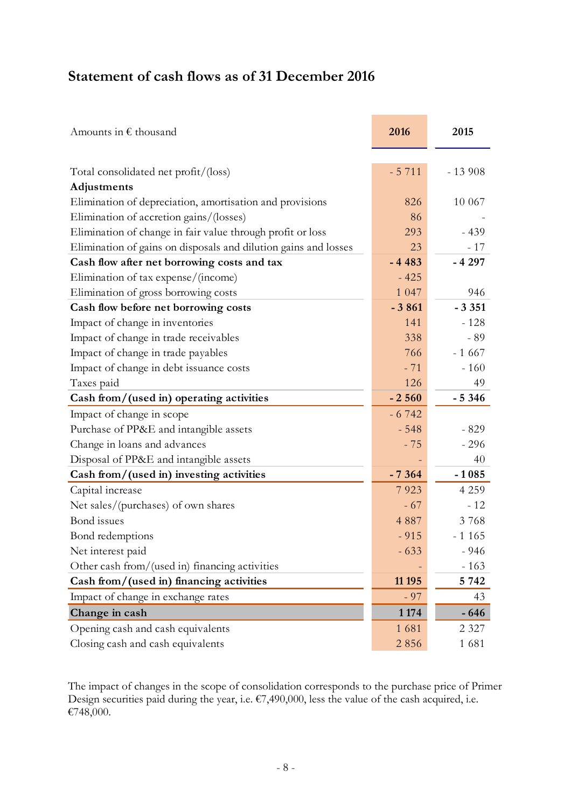# **Statement of cash flows as of 31 December 2016**

| Amounts in $\epsilon$ thousand                                  | 2016    | 2015     |
|-----------------------------------------------------------------|---------|----------|
|                                                                 |         |          |
| Total consolidated net profit/(loss)                            | $-5711$ | $-13908$ |
| Adjustments                                                     |         |          |
| Elimination of depreciation, amortisation and provisions        | 826     | 10 067   |
| Elimination of accretion gains/(losses)                         | 86      |          |
| Elimination of change in fair value through profit or loss      | 293     | $-439$   |
| Elimination of gains on disposals and dilution gains and losses | 23      | $-17$    |
| Cash flow after net borrowing costs and tax                     | $-4483$ | $-4297$  |
| Elimination of tax expense/(income)                             | $-425$  |          |
| Elimination of gross borrowing costs                            | 1 0 4 7 | 946      |
| Cash flow before net borrowing costs                            | $-3861$ | $-3351$  |
| Impact of change in inventories                                 | 141     | $-128$   |
| Impact of change in trade receivables                           | 338     | $-89$    |
| Impact of change in trade payables                              | 766     | $-1667$  |
| Impact of change in debt issuance costs                         | $-71$   | $-160$   |
| Taxes paid                                                      | 126     | 49       |
| Cash from/(used in) operating activities                        | $-2560$ | $-5346$  |
| Impact of change in scope                                       | $-6742$ |          |
| Purchase of PP&E and intangible assets                          | $-548$  | $-829$   |
| Change in loans and advances                                    | $-75$   | $-296$   |
| Disposal of PP&E and intangible assets                          |         | 40       |
| Cash from/(used in) investing activities                        | $-7364$ | $-1085$  |
| Capital increase                                                | 7923    | 4 2 5 9  |
| Net sales/(purchases) of own shares                             | $-67$   | $-12$    |
| Bond issues                                                     | 4 8 8 7 | 3768     |
| Bond redemptions                                                | $-915$  | $-1165$  |
| Net interest paid                                               | $-633$  | $-946$   |
| Other cash from/(used in) financing activities                  |         | $-163$   |
| Cash from/(used in) financing activities                        | 11 195  | 5 7 4 2  |
| Impact of change in exchange rates                              | $-97$   | 43       |
| Change in cash                                                  | 1 1 7 4 | $-646$   |
| Opening cash and cash equivalents                               | 1681    | 2 3 2 7  |
| Closing cash and cash equivalents                               | 2856    | 1681     |

The impact of changes in the scope of consolidation corresponds to the purchase price of Primer Design securities paid during the year, i.e.  $\epsilon$ 7,490,000, less the value of the cash acquired, i.e. €748,000.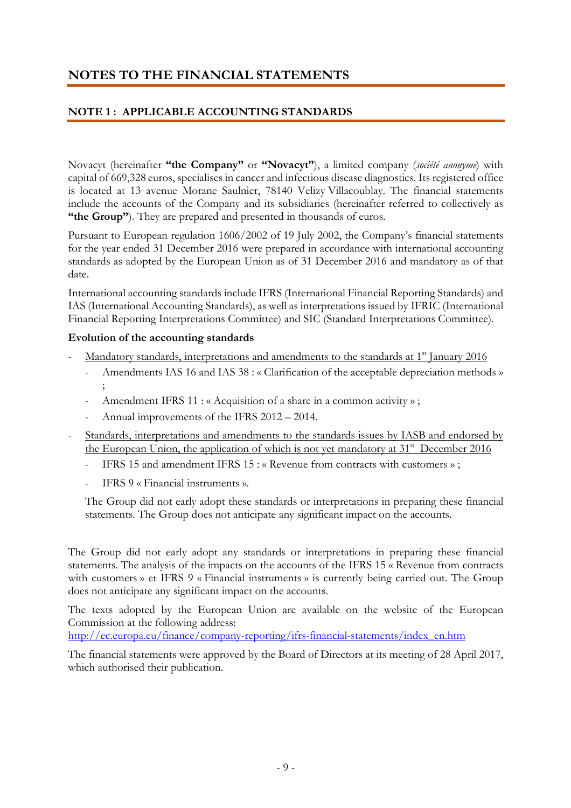# **NOTES TO THE FINANCIAL STATEMENTS**

### **NOTE 1 : APPLICABLE ACCOUNTING STANDARDS**

Novacyt (hereinafter **"the Company"** or **"Novacyt"**), a limited company (*société anonyme*) with capital of 669,328 euros, specialises in cancer and infectious disease diagnostics. Its registered office is located at 13 avenue Morane Saulnier, 78140 Velizy Villacoublay. The financial statements include the accounts of the Company and its subsidiaries (hereinafter referred to collectively as **"the Group"**). They are prepared and presented in thousands of euros.

Pursuant to European regulation 1606/2002 of 19 July 2002, the Company's financial statements for the year ended 31 December 2016 were prepared in accordance with international accounting standards as adopted by the European Union as of 31 December 2016 and mandatory as of that date.

International accounting standards include IFRS (International Financial Reporting Standards) and IAS (International Accounting Standards), as well as interpretations issued by IFRIC (International Financial Reporting Interpretations Committee) and SIC (Standard Interpretations Committee).

#### **Evolution of the accounting standards**

- Mandatory standards, interpretations and amendments to the standards at 1<sup>st</sup> January 2016
	- Amendments IAS 16 and IAS 38 : « Clarification of the acceptable depreciation methods » ;
	- Amendment IFRS 11 : « Acquisition of a share in a common activity »;
	- Annual improvements of the IFRS 2012 2014.
- Standards, interpretations and amendments to the standards issues by IASB and endorsed by the European Union, the application of which is not yet mandatory at 31<sup>st</sup> December 2016
	- IFRS 15 and amendment IFRS 15 : « Revenue from contracts with customers »;
	- IFRS 9 « Financial instruments ».

The Group did not early adopt these standards or interpretations in preparing these financial statements. The Group does not anticipate any significant impact on the accounts.

The Group did not early adopt any standards or interpretations in preparing these financial statements. The analysis of the impacts on the accounts of the IFRS 15 « Revenue from contracts with customers » et IFRS 9 « Financial instruments » is currently being carried out. The Group does not anticipate any significant impact on the accounts.

The texts adopted by the European Union are available on the website of the European Commission at the following address:

http://ec.europa.eu/finance/company-reporting/ifrs-financial-statements/index\_en.htm

The financial statements were approved by the Board of Directors at its meeting of 28 April 2017, which authorised their publication.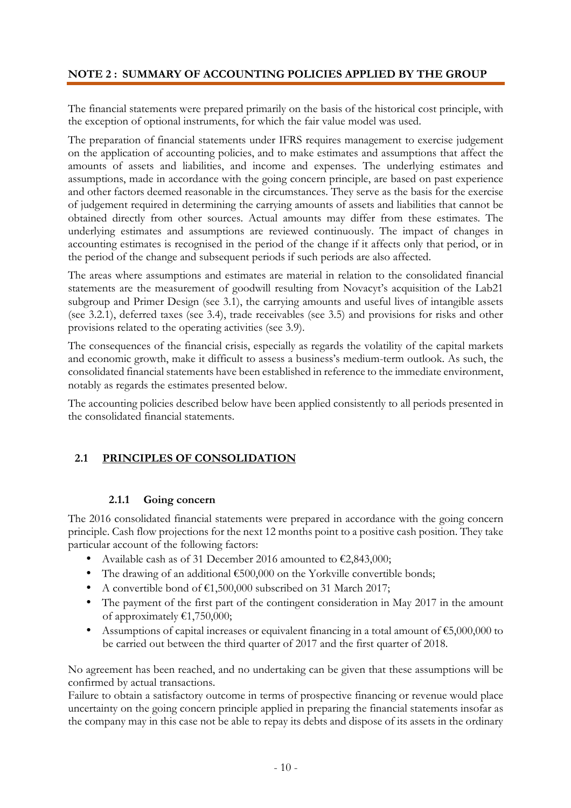### **NOTE 2 : SUMMARY OF ACCOUNTING POLICIES APPLIED BY THE GROUP**

The financial statements were prepared primarily on the basis of the historical cost principle, with the exception of optional instruments, for which the fair value model was used.

The preparation of financial statements under IFRS requires management to exercise judgement on the application of accounting policies, and to make estimates and assumptions that affect the amounts of assets and liabilities, and income and expenses. The underlying estimates and assumptions, made in accordance with the going concern principle, are based on past experience and other factors deemed reasonable in the circumstances. They serve as the basis for the exercise of judgement required in determining the carrying amounts of assets and liabilities that cannot be obtained directly from other sources. Actual amounts may differ from these estimates. The underlying estimates and assumptions are reviewed continuously. The impact of changes in accounting estimates is recognised in the period of the change if it affects only that period, or in the period of the change and subsequent periods if such periods are also affected.

The areas where assumptions and estimates are material in relation to the consolidated financial statements are the measurement of goodwill resulting from Novacyt's acquisition of the Lab21 subgroup and Primer Design (see 3.1), the carrying amounts and useful lives of intangible assets (see 3.2.1), deferred taxes (see 3.4), trade receivables (see 3.5) and provisions for risks and other provisions related to the operating activities (see 3.9).

The consequences of the financial crisis, especially as regards the volatility of the capital markets and economic growth, make it difficult to assess a business's medium-term outlook. As such, the consolidated financial statements have been established in reference to the immediate environment, notably as regards the estimates presented below.

The accounting policies described below have been applied consistently to all periods presented in the consolidated financial statements.

#### **2.1 PRINCIPLES OF CONSOLIDATION**

#### **2.1.1 Going concern**

The 2016 consolidated financial statements were prepared in accordance with the going concern principle. Cash flow projections for the next 12 months point to a positive cash position. They take particular account of the following factors:

- Available cash as of 31 December 2016 amounted to  $\epsilon$ 2,843,000;
- The drawing of an additional €500,000 on the Yorkville convertible bonds:
- A convertible bond of  $\epsilon$ 1,500,000 subscribed on 31 March 2017;
- The payment of the first part of the contingent consideration in May 2017 in the amount of approximately €1,750,000;
- Assumptions of capital increases or equivalent financing in a total amount of €5,000,000 to be carried out between the third quarter of 2017 and the first quarter of 2018.

No agreement has been reached, and no undertaking can be given that these assumptions will be confirmed by actual transactions.

Failure to obtain a satisfactory outcome in terms of prospective financing or revenue would place uncertainty on the going concern principle applied in preparing the financial statements insofar as the company may in this case not be able to repay its debts and dispose of its assets in the ordinary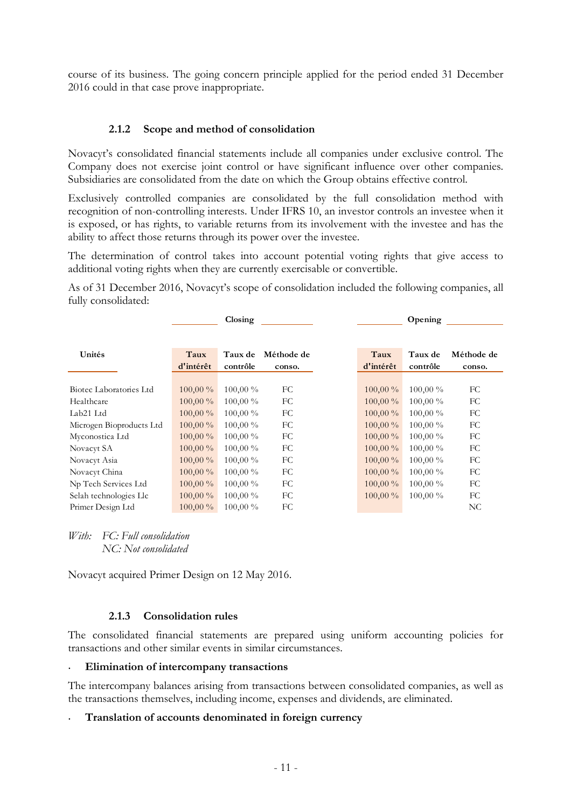course of its business. The going concern principle applied for the period ended 31 December 2016 could in that case prove inappropriate.

#### **2.1.2 Scope and method of consolidation**

Novacyt's consolidated financial statements include all companies under exclusive control. The Company does not exercise joint control or have significant influence over other companies. Subsidiaries are consolidated from the date on which the Group obtains effective control.

Exclusively controlled companies are consolidated by the full consolidation method with recognition of non-controlling interests. Under IFRS 10, an investor controls an investee when it is exposed, or has rights, to variable returns from its involvement with the investee and has the ability to affect those returns through its power over the investee.

The determination of control takes into account potential voting rights that give access to additional voting rights when they are currently exercisable or convertible.

As of 31 December 2016, Novacyt's scope of consolidation included the following companies, all fully consolidated:

|                          |                   | $\frac{1}{2}$              |                      |                   | Opening             |                      |
|--------------------------|-------------------|----------------------------|----------------------|-------------------|---------------------|----------------------|
|                          |                   |                            |                      |                   |                     |                      |
| Unités                   | Taux<br>d'intérêt | <b>Taux de</b><br>contrôle | Méthode de<br>conso. | Taux<br>d'intérêt | Taux de<br>contrôle | Méthode de<br>conso. |
|                          |                   |                            |                      |                   |                     |                      |
| Biotec Laboratories Ltd  | $100,00\%$        | 100,00 %                   | FC                   | $100,00\%$        | 100,00 %            | FC                   |
| Healthcare               | $100,00\%$        | $100,00\%$                 | FC                   | $100,00\%$        | $100,00\%$          | FC                   |
| Lab21 Ltd                | $100,00\%$        | $100,00\%$                 | FC                   | $100,00\%$        | $100,00\%$          | FC                   |
| Microgen Bioproducts Ltd | $100,00\%$        | $100,00\%$                 | FC                   | $100,00\%$        | $100,00\%$          | FC                   |
| Myconostica Ltd          | $100,00\%$        | $100,00\%$                 | FC                   | $100,00\%$        | $100,00\%$          | FC                   |
| Novacyt SA               | $100,00\%$        | $100,00\%$                 | FC                   | $100,00\%$        | $100,00\%$          | FC                   |
| Novacyt Asia             | $100,00\%$        | $100,00\%$                 | FC                   | $100,00\%$        | $100,00\%$          | FC                   |
| Novacyt China            | $100,00\%$        | $100,00\%$                 | FC                   | $100,00\%$        | $100,00\%$          | FC                   |
| Np Tech Services Ltd     | $100,00\%$        | $100,00\%$                 | FC                   | $100,00\%$        | $100,00\%$          | FC                   |
| Selah technologies Llc   | $100,00\%$        | $100,00\%$                 | FC                   | $100,00\%$        | $100,00\%$          | FC                   |
| Primer Design Ltd        | $100,00\%$        | 100,00 %                   | FC                   |                   |                     | NC                   |

*With: FC: Full consolidation NC: Not consolidated* 

Novacyt acquired Primer Design on 12 May 2016.

#### **2.1.3 Consolidation rules**

The consolidated financial statements are prepared using uniform accounting policies for transactions and other similar events in similar circumstances.

#### • **Elimination of intercompany transactions**

The intercompany balances arising from transactions between consolidated companies, as well as the transactions themselves, including income, expenses and dividends, are eliminated.

#### • **Translation of accounts denominated in foreign currency**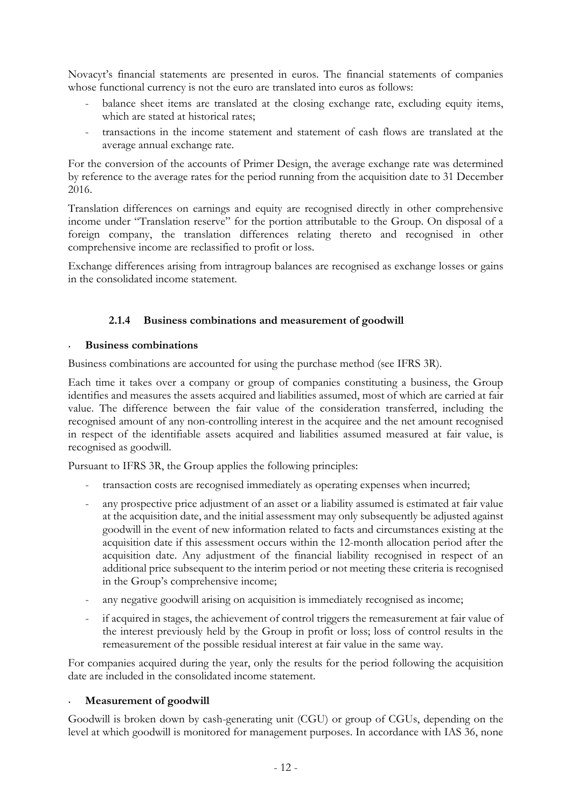Novacyt's financial statements are presented in euros. The financial statements of companies whose functional currency is not the euro are translated into euros as follows:

- balance sheet items are translated at the closing exchange rate, excluding equity items, which are stated at historical rates:
- transactions in the income statement and statement of cash flows are translated at the average annual exchange rate.

For the conversion of the accounts of Primer Design, the average exchange rate was determined by reference to the average rates for the period running from the acquisition date to 31 December 2016.

Translation differences on earnings and equity are recognised directly in other comprehensive income under "Translation reserve" for the portion attributable to the Group. On disposal of a foreign company, the translation differences relating thereto and recognised in other comprehensive income are reclassified to profit or loss.

Exchange differences arising from intragroup balances are recognised as exchange losses or gains in the consolidated income statement.

#### **2.1.4 Business combinations and measurement of goodwill**

#### • **Business combinations**

Business combinations are accounted for using the purchase method (see IFRS 3R).

Each time it takes over a company or group of companies constituting a business, the Group identifies and measures the assets acquired and liabilities assumed, most of which are carried at fair value. The difference between the fair value of the consideration transferred, including the recognised amount of any non-controlling interest in the acquiree and the net amount recognised in respect of the identifiable assets acquired and liabilities assumed measured at fair value, is recognised as goodwill.

Pursuant to IFRS 3R, the Group applies the following principles:

- transaction costs are recognised immediately as operating expenses when incurred;
- any prospective price adjustment of an asset or a liability assumed is estimated at fair value at the acquisition date, and the initial assessment may only subsequently be adjusted against goodwill in the event of new information related to facts and circumstances existing at the acquisition date if this assessment occurs within the 12-month allocation period after the acquisition date. Any adjustment of the financial liability recognised in respect of an additional price subsequent to the interim period or not meeting these criteria is recognised in the Group's comprehensive income;
- any negative goodwill arising on acquisition is immediately recognised as income;
- if acquired in stages, the achievement of control triggers the remeasurement at fair value of the interest previously held by the Group in profit or loss; loss of control results in the remeasurement of the possible residual interest at fair value in the same way.

For companies acquired during the year, only the results for the period following the acquisition date are included in the consolidated income statement.

#### • **Measurement of goodwill**

Goodwill is broken down by cash-generating unit (CGU) or group of CGUs, depending on the level at which goodwill is monitored for management purposes. In accordance with IAS 36, none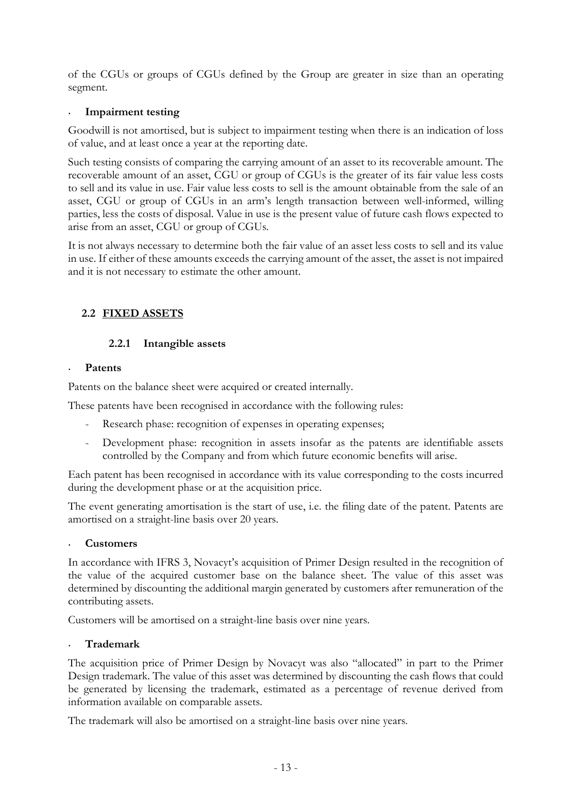of the CGUs or groups of CGUs defined by the Group are greater in size than an operating segment.

#### • **Impairment testing**

Goodwill is not amortised, but is subject to impairment testing when there is an indication of loss of value, and at least once a year at the reporting date.

Such testing consists of comparing the carrying amount of an asset to its recoverable amount. The recoverable amount of an asset, CGU or group of CGUs is the greater of its fair value less costs to sell and its value in use. Fair value less costs to sell is the amount obtainable from the sale of an asset, CGU or group of CGUs in an arm's length transaction between well-informed, willing parties, less the costs of disposal. Value in use is the present value of future cash flows expected to arise from an asset, CGU or group of CGUs.

It is not always necessary to determine both the fair value of an asset less costs to sell and its value in use. If either of these amounts exceeds the carrying amount of the asset, the asset is not impaired and it is not necessary to estimate the other amount.

### **2.2 FIXED ASSETS**

#### **2.2.1 Intangible assets**

#### • **Patents**

Patents on the balance sheet were acquired or created internally.

These patents have been recognised in accordance with the following rules:

- Research phase: recognition of expenses in operating expenses;
- Development phase: recognition in assets insofar as the patents are identifiable assets controlled by the Company and from which future economic benefits will arise.

Each patent has been recognised in accordance with its value corresponding to the costs incurred during the development phase or at the acquisition price.

The event generating amortisation is the start of use, i.e. the filing date of the patent. Patents are amortised on a straight-line basis over 20 years.

#### • **Customers**

In accordance with IFRS 3, Novacyt's acquisition of Primer Design resulted in the recognition of the value of the acquired customer base on the balance sheet. The value of this asset was determined by discounting the additional margin generated by customers after remuneration of the contributing assets.

Customers will be amortised on a straight-line basis over nine years.

#### • **Trademark**

The acquisition price of Primer Design by Novacyt was also "allocated" in part to the Primer Design trademark. The value of this asset was determined by discounting the cash flows that could be generated by licensing the trademark, estimated as a percentage of revenue derived from information available on comparable assets.

The trademark will also be amortised on a straight-line basis over nine years.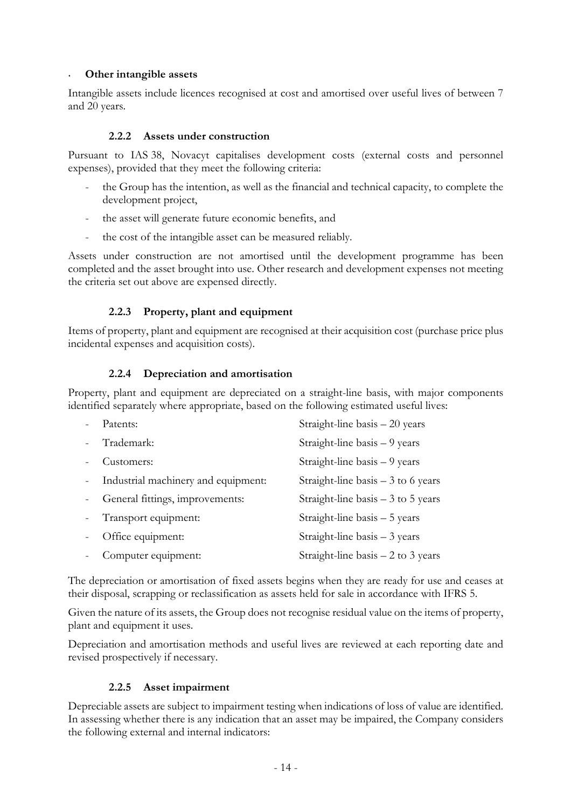#### • **Other intangible assets**

Intangible assets include licences recognised at cost and amortised over useful lives of between 7 and 20 years.

#### **2.2.2 Assets under construction**

Pursuant to IAS 38, Novacyt capitalises development costs (external costs and personnel expenses), provided that they meet the following criteria:

- the Group has the intention, as well as the financial and technical capacity, to complete the development project,
- the asset will generate future economic benefits, and
- the cost of the intangible asset can be measured reliably.

Assets under construction are not amortised until the development programme has been completed and the asset brought into use. Other research and development expenses not meeting the criteria set out above are expensed directly.

#### **2.2.3 Property, plant and equipment**

Items of property, plant and equipment are recognised at their acquisition cost (purchase price plus incidental expenses and acquisition costs).

#### **2.2.4 Depreciation and amortisation**

Property, plant and equipment are depreciated on a straight-line basis, with major components identified separately where appropriate, based on the following estimated useful lives:

|        | Patents:                              | Straight-line basis - 20 years      |
|--------|---------------------------------------|-------------------------------------|
|        | Trademark:                            | Straight-line basis – 9 years       |
|        | Customers:                            | Straight-line basis – 9 years       |
|        | - Industrial machinery and equipment: | Straight-line basis $-3$ to 6 years |
|        | General fittings, improvements:       | Straight-line basis $-3$ to 5 years |
| $\sim$ | Transport equipment:                  | Straight-line basis - 5 years       |
|        | Office equipment:                     | Straight-line basis $-3$ years      |
|        | Computer equipment:                   | Straight-line basis $-2$ to 3 years |

The depreciation or amortisation of fixed assets begins when they are ready for use and ceases at their disposal, scrapping or reclassification as assets held for sale in accordance with IFRS 5.

Given the nature of its assets, the Group does not recognise residual value on the items of property, plant and equipment it uses.

Depreciation and amortisation methods and useful lives are reviewed at each reporting date and revised prospectively if necessary.

#### **2.2.5 Asset impairment**

Depreciable assets are subject to impairment testing when indications of loss of value are identified. In assessing whether there is any indication that an asset may be impaired, the Company considers the following external and internal indicators: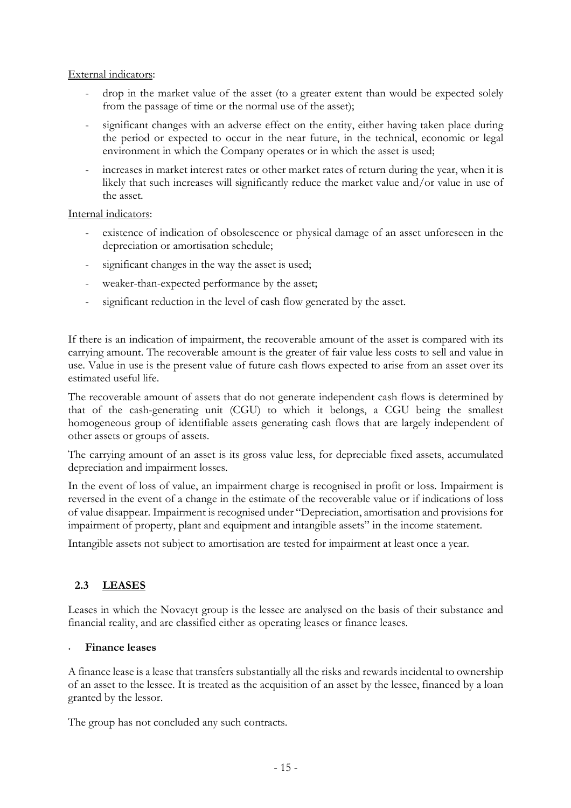#### External indicators:

- drop in the market value of the asset (to a greater extent than would be expected solely from the passage of time or the normal use of the asset);
- significant changes with an adverse effect on the entity, either having taken place during the period or expected to occur in the near future, in the technical, economic or legal environment in which the Company operates or in which the asset is used;
- increases in market interest rates or other market rates of return during the year, when it is likely that such increases will significantly reduce the market value and/or value in use of the asset.

#### Internal indicators:

- existence of indication of obsolescence or physical damage of an asset unforeseen in the depreciation or amortisation schedule;
- significant changes in the way the asset is used;
- weaker-than-expected performance by the asset;
- significant reduction in the level of cash flow generated by the asset.

If there is an indication of impairment, the recoverable amount of the asset is compared with its carrying amount. The recoverable amount is the greater of fair value less costs to sell and value in use. Value in use is the present value of future cash flows expected to arise from an asset over its estimated useful life.

The recoverable amount of assets that do not generate independent cash flows is determined by that of the cash-generating unit (CGU) to which it belongs, a CGU being the smallest homogeneous group of identifiable assets generating cash flows that are largely independent of other assets or groups of assets.

The carrying amount of an asset is its gross value less, for depreciable fixed assets, accumulated depreciation and impairment losses.

In the event of loss of value, an impairment charge is recognised in profit or loss. Impairment is reversed in the event of a change in the estimate of the recoverable value or if indications of loss of value disappear. Impairment is recognised under "Depreciation, amortisation and provisions for impairment of property, plant and equipment and intangible assets" in the income statement.

Intangible assets not subject to amortisation are tested for impairment at least once a year.

#### **2.3 LEASES**

Leases in which the Novacyt group is the lessee are analysed on the basis of their substance and financial reality, and are classified either as operating leases or finance leases.

#### • **Finance leases**

A finance lease is a lease that transfers substantially all the risks and rewards incidental to ownership of an asset to the lessee. It is treated as the acquisition of an asset by the lessee, financed by a loan granted by the lessor.

The group has not concluded any such contracts.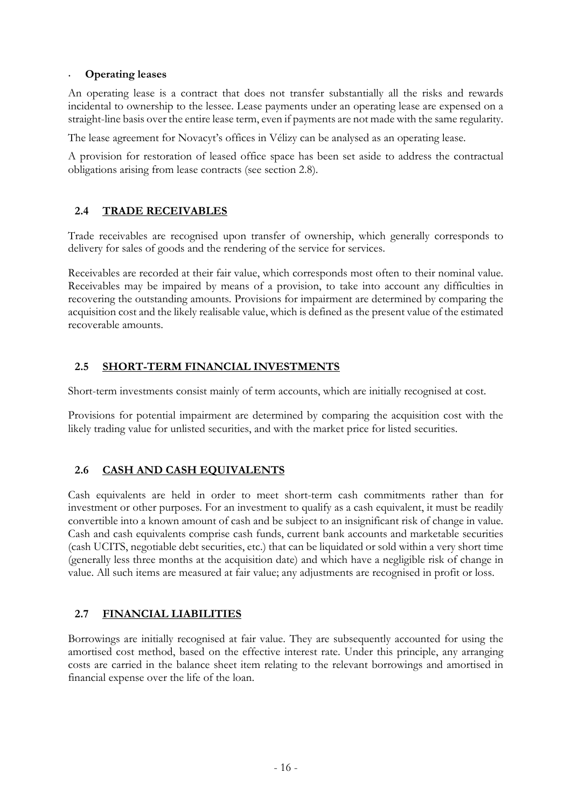#### • **Operating leases**

An operating lease is a contract that does not transfer substantially all the risks and rewards incidental to ownership to the lessee. Lease payments under an operating lease are expensed on a straight-line basis over the entire lease term, even if payments are not made with the same regularity.

The lease agreement for Novacyt's offices in Vélizy can be analysed as an operating lease.

A provision for restoration of leased office space has been set aside to address the contractual obligations arising from lease contracts (see section 2.8).

# **2.4 TRADE RECEIVABLES**

Trade receivables are recognised upon transfer of ownership, which generally corresponds to delivery for sales of goods and the rendering of the service for services.

Receivables are recorded at their fair value, which corresponds most often to their nominal value. Receivables may be impaired by means of a provision, to take into account any difficulties in recovering the outstanding amounts. Provisions for impairment are determined by comparing the acquisition cost and the likely realisable value, which is defined as the present value of the estimated recoverable amounts.

# **2.5 SHORT-TERM FINANCIAL INVESTMENTS**

Short-term investments consist mainly of term accounts, which are initially recognised at cost.

Provisions for potential impairment are determined by comparing the acquisition cost with the likely trading value for unlisted securities, and with the market price for listed securities.

# **2.6 CASH AND CASH EQUIVALENTS**

Cash equivalents are held in order to meet short-term cash commitments rather than for investment or other purposes. For an investment to qualify as a cash equivalent, it must be readily convertible into a known amount of cash and be subject to an insignificant risk of change in value. Cash and cash equivalents comprise cash funds, current bank accounts and marketable securities (cash UCITS, negotiable debt securities, etc.) that can be liquidated or sold within a very short time (generally less three months at the acquisition date) and which have a negligible risk of change in value. All such items are measured at fair value; any adjustments are recognised in profit or loss.

# **2.7 FINANCIAL LIABILITIES**

Borrowings are initially recognised at fair value. They are subsequently accounted for using the amortised cost method, based on the effective interest rate. Under this principle, any arranging costs are carried in the balance sheet item relating to the relevant borrowings and amortised in financial expense over the life of the loan.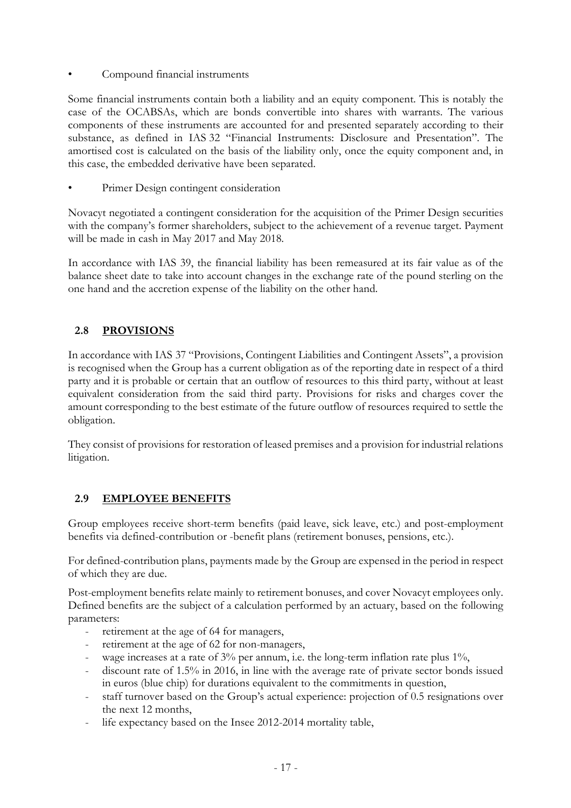Compound financial instruments

Some financial instruments contain both a liability and an equity component. This is notably the case of the OCABSAs, which are bonds convertible into shares with warrants. The various components of these instruments are accounted for and presented separately according to their substance, as defined in IAS 32 "Financial Instruments: Disclosure and Presentation". The amortised cost is calculated on the basis of the liability only, once the equity component and, in this case, the embedded derivative have been separated.

Primer Design contingent consideration

Novacyt negotiated a contingent consideration for the acquisition of the Primer Design securities with the company's former shareholders, subject to the achievement of a revenue target. Payment will be made in cash in May 2017 and May 2018.

In accordance with IAS 39, the financial liability has been remeasured at its fair value as of the balance sheet date to take into account changes in the exchange rate of the pound sterling on the one hand and the accretion expense of the liability on the other hand.

# **2.8 PROVISIONS**

In accordance with IAS 37 "Provisions, Contingent Liabilities and Contingent Assets", a provision is recognised when the Group has a current obligation as of the reporting date in respect of a third party and it is probable or certain that an outflow of resources to this third party, without at least equivalent consideration from the said third party. Provisions for risks and charges cover the amount corresponding to the best estimate of the future outflow of resources required to settle the obligation.

They consist of provisions for restoration of leased premises and a provision for industrial relations litigation.

# **2.9 EMPLOYEE BENEFITS**

Group employees receive short-term benefits (paid leave, sick leave, etc.) and post-employment benefits via defined-contribution or -benefit plans (retirement bonuses, pensions, etc.).

For defined-contribution plans, payments made by the Group are expensed in the period in respect of which they are due.

Post-employment benefits relate mainly to retirement bonuses, and cover Novacyt employees only. Defined benefits are the subject of a calculation performed by an actuary, based on the following parameters:

- retirement at the age of 64 for managers,
- retirement at the age of 62 for non-managers,
- wage increases at a rate of 3% per annum, i.e. the long-term inflation rate plus 1%,
- discount rate of 1.5% in 2016, in line with the average rate of private sector bonds issued in euros (blue chip) for durations equivalent to the commitments in question,
- staff turnover based on the Group's actual experience: projection of 0.5 resignations over the next 12 months,
- life expectancy based on the Insee 2012-2014 mortality table,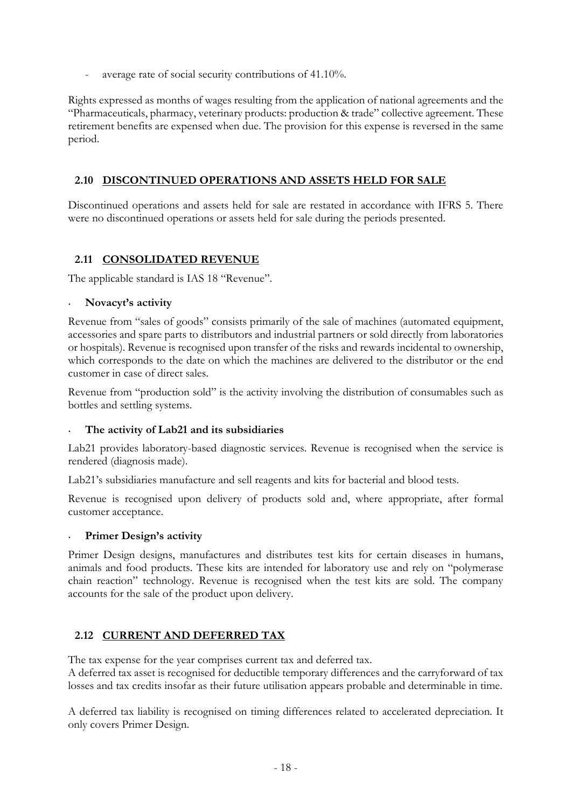average rate of social security contributions of 41.10%.

Rights expressed as months of wages resulting from the application of national agreements and the "Pharmaceuticals, pharmacy, veterinary products: production & trade" collective agreement. These retirement benefits are expensed when due. The provision for this expense is reversed in the same period.

#### **2.10 DISCONTINUED OPERATIONS AND ASSETS HELD FOR SALE**

Discontinued operations and assets held for sale are restated in accordance with IFRS 5. There were no discontinued operations or assets held for sale during the periods presented.

#### **2.11 CONSOLIDATED REVENUE**

The applicable standard is IAS 18 "Revenue".

#### • **Novacyt's activity**

Revenue from "sales of goods" consists primarily of the sale of machines (automated equipment, accessories and spare parts to distributors and industrial partners or sold directly from laboratories or hospitals). Revenue is recognised upon transfer of the risks and rewards incidental to ownership, which corresponds to the date on which the machines are delivered to the distributor or the end customer in case of direct sales.

Revenue from "production sold" is the activity involving the distribution of consumables such as bottles and settling systems.

#### • **The activity of Lab21 and its subsidiaries**

Lab21 provides laboratory-based diagnostic services. Revenue is recognised when the service is rendered (diagnosis made).

Lab21's subsidiaries manufacture and sell reagents and kits for bacterial and blood tests.

Revenue is recognised upon delivery of products sold and, where appropriate, after formal customer acceptance.

#### • **Primer Design's activity**

Primer Design designs, manufactures and distributes test kits for certain diseases in humans, animals and food products. These kits are intended for laboratory use and rely on "polymerase chain reaction" technology. Revenue is recognised when the test kits are sold. The company accounts for the sale of the product upon delivery.

#### **2.12 CURRENT AND DEFERRED TAX**

The tax expense for the year comprises current tax and deferred tax.

A deferred tax asset is recognised for deductible temporary differences and the carryforward of tax losses and tax credits insofar as their future utilisation appears probable and determinable in time.

A deferred tax liability is recognised on timing differences related to accelerated depreciation. It only covers Primer Design.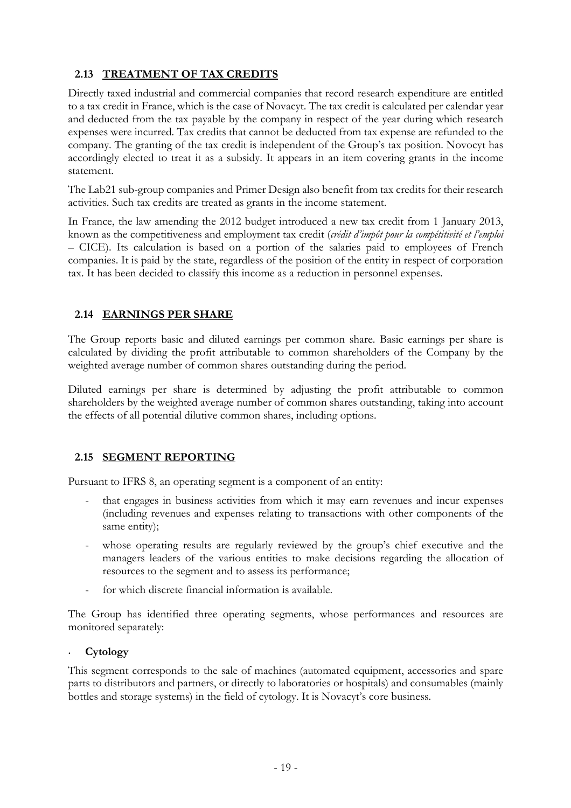# **2.13 TREATMENT OF TAX CREDITS**

Directly taxed industrial and commercial companies that record research expenditure are entitled to a tax credit in France, which is the case of Novacyt. The tax credit is calculated per calendar year and deducted from the tax payable by the company in respect of the year during which research expenses were incurred. Tax credits that cannot be deducted from tax expense are refunded to the company. The granting of the tax credit is independent of the Group's tax position. Novocyt has accordingly elected to treat it as a subsidy. It appears in an item covering grants in the income statement.

The Lab21 sub-group companies and Primer Design also benefit from tax credits for their research activities. Such tax credits are treated as grants in the income statement.

In France, the law amending the 2012 budget introduced a new tax credit from 1 January 2013, known as the competitiveness and employment tax credit (*crédit d'impôt pour la compétitivité et l'emploi* – CICE). Its calculation is based on a portion of the salaries paid to employees of French companies. It is paid by the state, regardless of the position of the entity in respect of corporation tax. It has been decided to classify this income as a reduction in personnel expenses.

#### **2.14 EARNINGS PER SHARE**

The Group reports basic and diluted earnings per common share. Basic earnings per share is calculated by dividing the profit attributable to common shareholders of the Company by the weighted average number of common shares outstanding during the period.

Diluted earnings per share is determined by adjusting the profit attributable to common shareholders by the weighted average number of common shares outstanding, taking into account the effects of all potential dilutive common shares, including options.

#### **2.15 SEGMENT REPORTING**

Pursuant to IFRS 8, an operating segment is a component of an entity:

- that engages in business activities from which it may earn revenues and incur expenses (including revenues and expenses relating to transactions with other components of the same entity);
- whose operating results are regularly reviewed by the group's chief executive and the managers leaders of the various entities to make decisions regarding the allocation of resources to the segment and to assess its performance;
- for which discrete financial information is available.

The Group has identified three operating segments, whose performances and resources are monitored separately:

#### • **Cytology**

This segment corresponds to the sale of machines (automated equipment, accessories and spare parts to distributors and partners, or directly to laboratories or hospitals) and consumables (mainly bottles and storage systems) in the field of cytology. It is Novacyt's core business.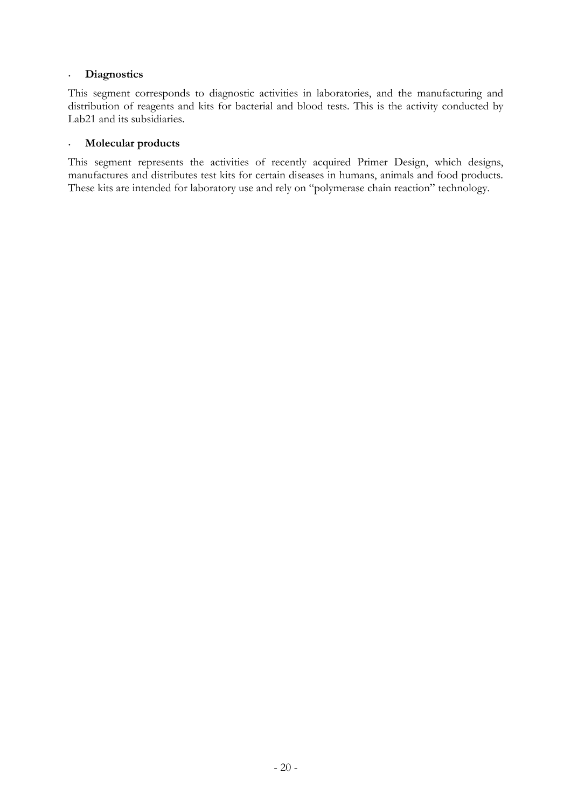#### • **Diagnostics**

This segment corresponds to diagnostic activities in laboratories, and the manufacturing and distribution of reagents and kits for bacterial and blood tests. This is the activity conducted by Lab21 and its subsidiaries.

#### • **Molecular products**

This segment represents the activities of recently acquired Primer Design, which designs, manufactures and distributes test kits for certain diseases in humans, animals and food products. These kits are intended for laboratory use and rely on "polymerase chain reaction" technology.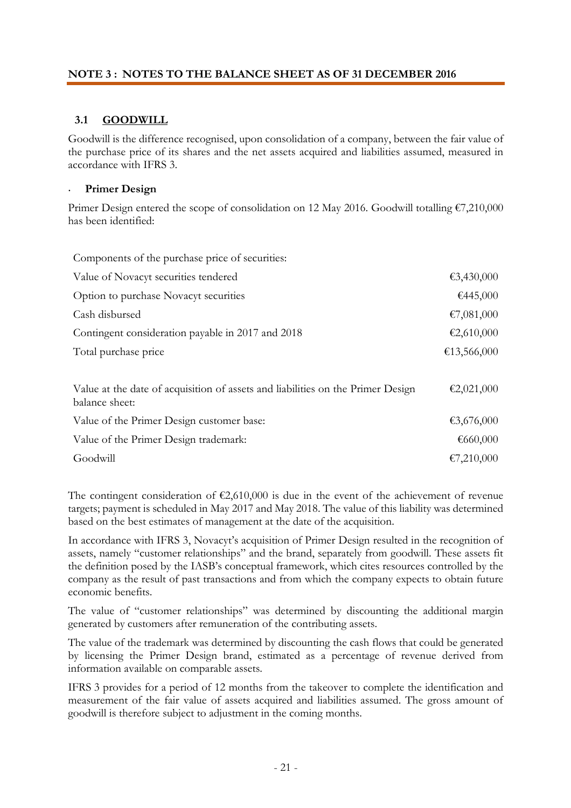### **NOTE 3 : NOTES TO THE BALANCE SHEET AS OF 31 DECEMBER 2016**

### **3.1 GOODWILL**

Goodwill is the difference recognised, upon consolidation of a company, between the fair value of the purchase price of its shares and the net assets acquired and liabilities assumed, measured in accordance with IFRS 3.

#### • **Primer Design**

Primer Design entered the scope of consolidation on 12 May 2016. Goodwill totalling €7,210,000 has been identified:

| Components of the purchase price of securities:                                                   |             |
|---------------------------------------------------------------------------------------------------|-------------|
| Value of Novacyt securities tendered                                                              | €3,430,000  |
| Option to purchase Novacyt securities                                                             | €445,000    |
| Cash disbursed                                                                                    | €7,081,000  |
| Contingent consideration payable in 2017 and 2018                                                 | €2,610,000  |
| Total purchase price                                                                              | €13,566,000 |
|                                                                                                   |             |
| Value at the date of acquisition of assets and liabilities on the Primer Design<br>balance sheet: | €2,021,000  |
| Value of the Primer Design customer base:                                                         | €3,676,000  |
| Value of the Primer Design trademark:                                                             | €660,000    |
| Goodwill                                                                                          | €7,210,000  |

The contingent consideration of  $\epsilon$ 2,610,000 is due in the event of the achievement of revenue targets; payment is scheduled in May 2017 and May 2018. The value of this liability was determined based on the best estimates of management at the date of the acquisition.

In accordance with IFRS 3, Novacyt's acquisition of Primer Design resulted in the recognition of assets, namely "customer relationships" and the brand, separately from goodwill. These assets fit the definition posed by the IASB's conceptual framework, which cites resources controlled by the company as the result of past transactions and from which the company expects to obtain future economic benefits.

The value of "customer relationships" was determined by discounting the additional margin generated by customers after remuneration of the contributing assets.

The value of the trademark was determined by discounting the cash flows that could be generated by licensing the Primer Design brand, estimated as a percentage of revenue derived from information available on comparable assets.

IFRS 3 provides for a period of 12 months from the takeover to complete the identification and measurement of the fair value of assets acquired and liabilities assumed. The gross amount of goodwill is therefore subject to adjustment in the coming months.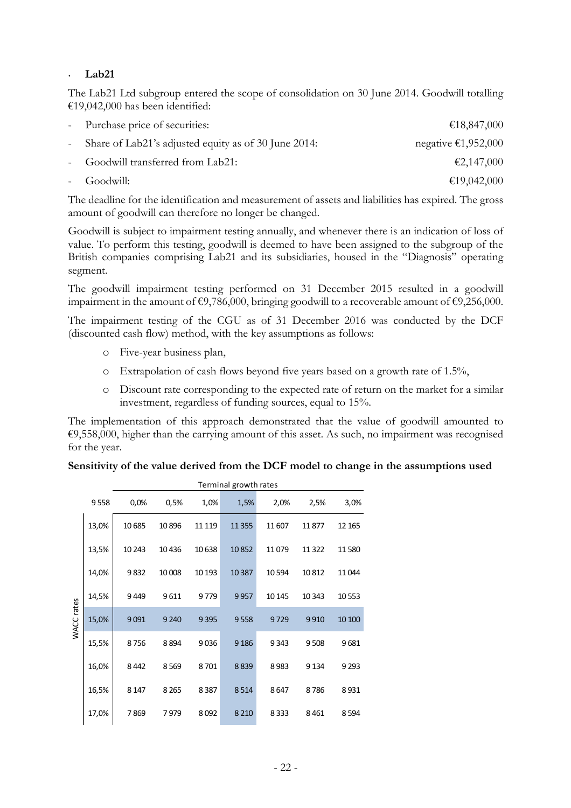#### • **Lab21**

The Lab21 Ltd subgroup entered the scope of consolidation on 30 June 2014. Goodwill totalling €19,042,000 has been identified:

| - Purchase price of securities:                        | €18,847,000         |
|--------------------------------------------------------|---------------------|
| - Share of Lab21's adjusted equity as of 30 June 2014: | negative €1,952,000 |
| - Goodwill transferred from Lab21:                     | €2,147,000          |
| - Goodwill:                                            | €19,042,000         |

The deadline for the identification and measurement of assets and liabilities has expired. The gross amount of goodwill can therefore no longer be changed.

Goodwill is subject to impairment testing annually, and whenever there is an indication of loss of value. To perform this testing, goodwill is deemed to have been assigned to the subgroup of the British companies comprising Lab21 and its subsidiaries, housed in the "Diagnosis" operating segment.

The goodwill impairment testing performed on 31 December 2015 resulted in a goodwill impairment in the amount of  $\epsilon$ 9,786,000, bringing goodwill to a recoverable amount of  $\epsilon$ 9,256,000.

The impairment testing of the CGU as of 31 December 2016 was conducted by the DCF (discounted cash flow) method, with the key assumptions as follows:

- o Five-year business plan,
- o Extrapolation of cash flows beyond five years based on a growth rate of 1.5%,
- o Discount rate corresponding to the expected rate of return on the market for a similar investment, regardless of funding sources, equal to 15%.

The implementation of this approach demonstrated that the value of goodwill amounted to €9,558,000, higher than the carrying amount of this asset. As such, no impairment was recognised for the year.

#### **Sensitivity of the value derived from the DCF model to change in the assumptions used**

|            |       | Terminal growth rates |         |        |          |        |         |         |  |
|------------|-------|-----------------------|---------|--------|----------|--------|---------|---------|--|
|            | 9558  | 0,0%                  | 0,5%    | 1,0%   | 1,5%     | 2,0%   | 2,5%    | 3,0%    |  |
|            | 13,0% | 10685                 | 10896   | 11 119 | 11 3 5 5 | 11607  | 11877   | 12 165  |  |
|            | 13,5% | 10 24 3               | 10436   | 10638  | 10852    | 11079  | 11 322  | 11580   |  |
|            | 14,0% | 9832                  | 10 008  | 10 193 | 10 3 87  | 10594  | 10812   | 11044   |  |
| WACC rates | 14,5% | 9449                  | 9611    | 9779   | 9957     | 10 145 | 10 343  | 10 5 53 |  |
|            | 15,0% | 9091                  | 9 2 4 0 | 9395   | 9558     | 9729   | 9910    | 10 100  |  |
|            | 15,5% | 8756                  | 8894    | 9036   | 9 1 8 6  | 9343   | 9508    | 9681    |  |
|            | 16,0% | 8442                  | 8569    | 8701   | 8839     | 8983   | 9 1 3 4 | 9 2 9 3 |  |
|            | 16,5% | 8 1 4 7               | 8 2 6 5 | 8387   | 8514     | 8647   | 8786    | 8931    |  |
|            | 17,0% | 7869                  | 7979    | 8092   | 8 2 1 0  | 8333   | 8461    | 8594    |  |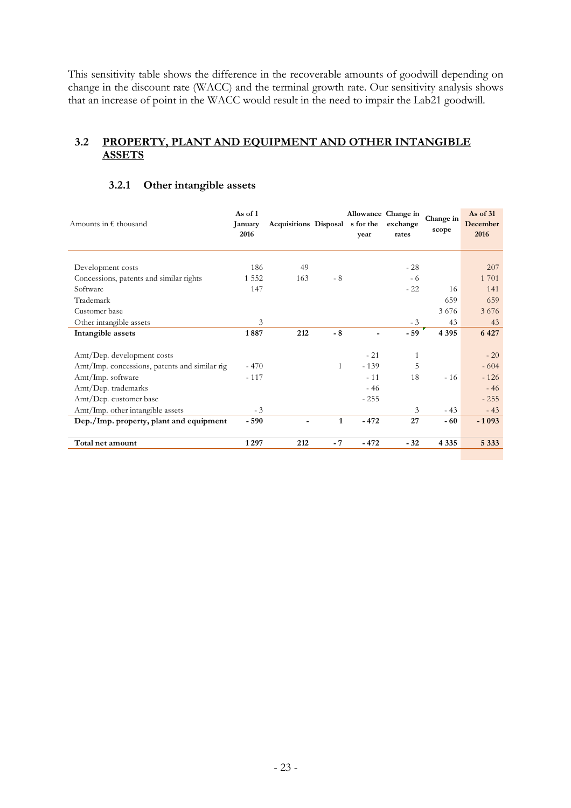This sensitivity table shows the difference in the recoverable amounts of goodwill depending on change in the discount rate (WACC) and the terminal growth rate. Our sensitivity analysis shows that an increase of point in the WACC would result in the need to impair the Lab21 goodwill.

#### **3.2 PROPERTY, PLANT AND EQUIPMENT AND OTHER INTANGIBLE ASSETS**

| Amounts in $\epsilon$ thousand                | As of 1<br><b>January</b><br>2016 | Acquisitions Disposal s for the |              | year   | Allowance Change in<br>exchange<br>rates | Change in<br>scope | As of 31<br>December<br>2016 |
|-----------------------------------------------|-----------------------------------|---------------------------------|--------------|--------|------------------------------------------|--------------------|------------------------------|
| Development costs                             | 186                               | 49                              |              |        | $-28$                                    |                    | 207                          |
| Concessions, patents and similar rights       | 1 5 5 2                           | 163                             | $-8$         |        | - 6                                      |                    | 1 701                        |
| Software                                      | 147                               |                                 |              |        | $-22$                                    | 16                 | 141                          |
| Trademark                                     |                                   |                                 |              |        |                                          | 659                | 659                          |
| Customer base                                 |                                   |                                 |              |        |                                          | 3676               | 3676                         |
| Other intangible assets                       | 3                                 |                                 |              |        | $-3$                                     | 43                 | 43                           |
| Intangible assets                             | 1887                              | 212                             | $-8$         |        | $-59$                                    | 4 3 9 5            | 6 4 2 7                      |
|                                               |                                   |                                 |              |        |                                          |                    |                              |
| Amt/Dep. development costs                    |                                   |                                 |              | $-21$  | $\mathbf{1}$                             |                    | $-20$                        |
| Amt/Imp. concessions, patents and similar rig | $-470$                            |                                 | $\mathbf{1}$ | $-139$ | 5                                        |                    | $-604$                       |
| Amt/Imp. software                             | $-117$                            |                                 |              | $-11$  | 18                                       | $-16$              | $-126$                       |
| Amt/Dep. trademarks                           |                                   |                                 |              | $-46$  |                                          |                    | $-46$                        |
| Amt/Dep. customer base                        |                                   |                                 |              | $-255$ |                                          |                    | $-255$                       |
| Amt/Imp. other intangible assets              | $-3$                              |                                 |              |        | 3                                        | $-43$              | $-43$                        |
| Dep./Imp. property, plant and equipment       | $-590$                            |                                 | $\mathbf{1}$ | $-472$ | 27                                       | - 60               | $-1093$                      |
| Total net amount                              | 1297                              | 212                             | - 7          | $-472$ | $-32$                                    | 4 3 3 5            | 5 3 3 3                      |
|                                               |                                   |                                 |              |        |                                          |                    |                              |

#### **3.2.1 Other intangible assets**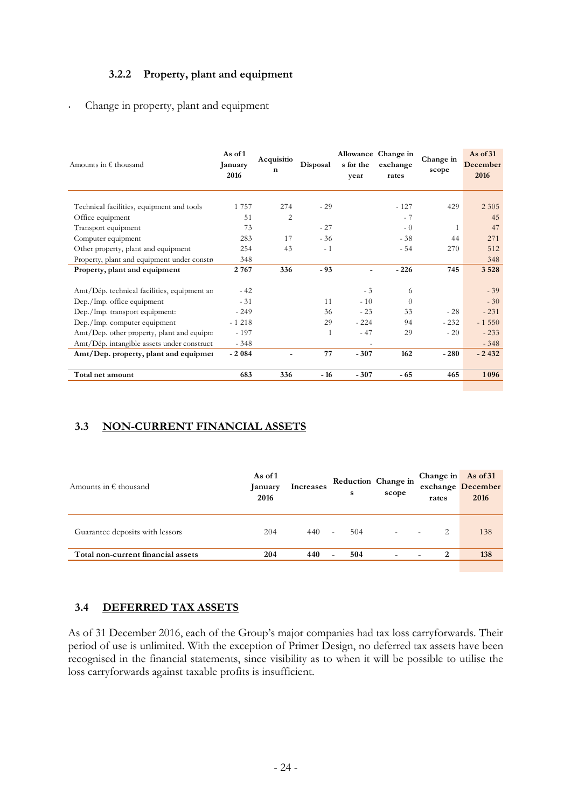### **3.2.2 Property, plant and equipment**

#### • Change in property, plant and equipment

| As of 1<br>January<br>2016                                                               | Acquisitio<br>n                                                                                                                                              | Disposal              | s for the<br>year       | exchange<br>rates | Change in<br>scope                    | As of $31$<br>December<br>2016 |
|------------------------------------------------------------------------------------------|--------------------------------------------------------------------------------------------------------------------------------------------------------------|-----------------------|-------------------------|-------------------|---------------------------------------|--------------------------------|
|                                                                                          |                                                                                                                                                              |                       |                         |                   |                                       | 2 3 0 5                        |
|                                                                                          |                                                                                                                                                              |                       |                         |                   |                                       | 45                             |
| 73                                                                                       |                                                                                                                                                              |                       |                         | $-0$              | 1                                     | 47                             |
| 283                                                                                      | 17                                                                                                                                                           |                       |                         | $-38$             | 44                                    | 271                            |
| 254                                                                                      | 43                                                                                                                                                           | $-1$                  |                         | $-54$             | 270                                   | 512                            |
| 348                                                                                      |                                                                                                                                                              |                       |                         |                   |                                       | 348                            |
| 2767                                                                                     | 336                                                                                                                                                          | $-93$                 | ٠                       | $-226$            | 745                                   | 3 5 2 8                        |
|                                                                                          |                                                                                                                                                              |                       |                         |                   |                                       |                                |
|                                                                                          |                                                                                                                                                              |                       |                         | 6                 |                                       | $-39$                          |
| $-31$                                                                                    |                                                                                                                                                              | 11                    | $-10$                   | $\Omega$          |                                       | $-30$                          |
| $-249$                                                                                   |                                                                                                                                                              | 36                    | $-23$                   | 33                | $-28$                                 | $-231$                         |
| $-1218$                                                                                  |                                                                                                                                                              | 29                    | $-224$                  | 94                | $-232$                                | $-1550$                        |
| $-197$                                                                                   |                                                                                                                                                              | $\mathbf{1}$          | $-47$                   | 29                | $-20$                                 | $-233$                         |
| $-348$                                                                                   |                                                                                                                                                              |                       |                         |                   |                                       | $-348$                         |
| $-2084$                                                                                  |                                                                                                                                                              | 77                    | $-307$                  | 162               | $-280$                                | $-2432$                        |
| 683                                                                                      | 336                                                                                                                                                          | $-16$                 | $-307$                  | - 65              | 465                                   | 1096                           |
| Property, plant and equipment under constru<br>Amt/Dep. other property, plant and equipm | 1 7 5 7<br>51<br>$-42$<br>Amt/Dép. technical facilities, equipment an<br>Amt/Dép. intangible assets under construct<br>Amt/Dep. property, plant and equipmer | 274<br>$\overline{c}$ | $-29$<br>$-27$<br>$-36$ | $-3$              | Allowance Change in<br>$-127$<br>$-7$ | 429                            |

# **3.3 NON-CURRENT FINANCIAL ASSETS**

| Amounts in $\epsilon$ thousand     | As of 1<br>January<br>2016 | Increases | s                               | Reduction Change in<br>scope | Change in As of 31<br>rates | exchange December<br>2016 |
|------------------------------------|----------------------------|-----------|---------------------------------|------------------------------|-----------------------------|---------------------------|
| Guarantee deposits with lessors    | 204                        | 440       | 504<br>$\overline{a}$           | $\overline{\phantom{a}}$     |                             | 138                       |
| Total non-current financial assets | 204                        | 440       | 504<br>$\overline{\phantom{a}}$ | $\overline{\phantom{0}}$     | 2<br>$\,$ $\,$              | 138                       |

#### **3.4 DEFERRED TAX ASSETS**

As of 31 December 2016, each of the Group's major companies had tax loss carryforwards. Their period of use is unlimited. With the exception of Primer Design, no deferred tax assets have been recognised in the financial statements, since visibility as to when it will be possible to utilise the loss carryforwards against taxable profits is insufficient.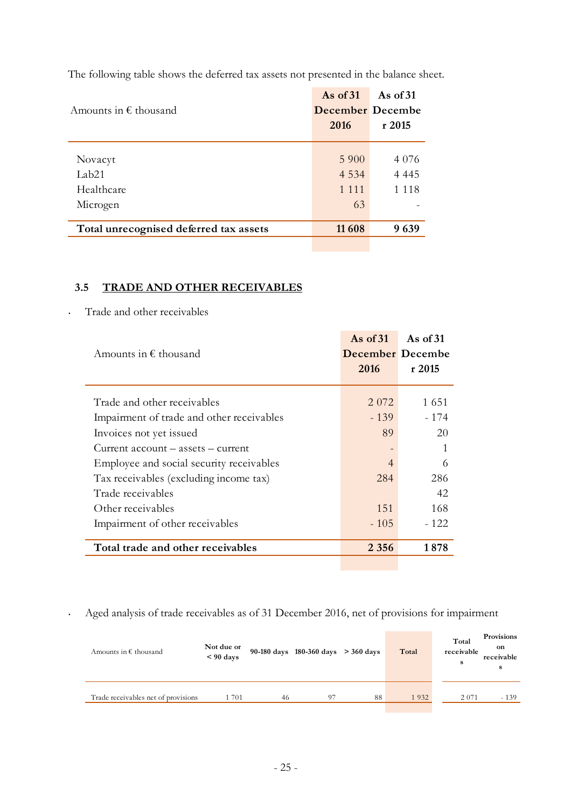| Amounts in $\epsilon$ thousand                         | As of $31$<br><b>December</b> Decembe<br>2016 | As of $31$<br>r2015           |
|--------------------------------------------------------|-----------------------------------------------|-------------------------------|
| Novacyt<br>Lab <sub>21</sub><br>Healthcare<br>Microgen | 5 9 0 0<br>4 5 3 4<br>1 1 1 1<br>63           | 4 0 7 6<br>4 4 4 5<br>1 1 1 8 |
| Total unrecognised deferred tax assets                 | 11 608                                        | 9639                          |

The following table shows the deferred tax assets not presented in the balance sheet.

## **3.5 TRADE AND OTHER RECEIVABLES**

#### • Trade and other receivables

|                                           | As of $31$       | As of $31$ |
|-------------------------------------------|------------------|------------|
| Amounts in $\epsilon$ thousand            | December Decembe |            |
|                                           | 2016             | r2015      |
|                                           |                  |            |
| Trade and other receivables               | 2 0 7 2          | 1651       |
| Impairment of trade and other receivables | $-139$           | - 174      |
| Invoices not yet issued                   | 89               | 20         |
| Current account – assets – current        |                  | 1          |
| Employee and social security receivables  | $\overline{4}$   | 6          |
| Tax receivables (excluding income tax)    | 284              | 286        |
| Trade receivables                         |                  | 42         |
| Other receivables                         | 151              | 168        |
| Impairment of other receivables           | $-105$           | $-122$     |
|                                           |                  |            |
| Total trade and other receivables         | 2 3 5 6          | 1878       |

• Aged analysis of trade receivables as of 31 December 2016, net of provisions for impairment

| Amounts in $\epsilon$ thousand      | Not due or<br>$< 90$ days |    | 90-180 days 180-360 days $>$ 360 days |    | Total | Total<br>receivable<br>s | Provisions<br>on<br>receivable<br>s |
|-------------------------------------|---------------------------|----|---------------------------------------|----|-------|--------------------------|-------------------------------------|
| Trade receivables net of provisions | 701                       | 46 | 97                                    | 88 | 1932  | 2 0 7 1                  | $-139$                              |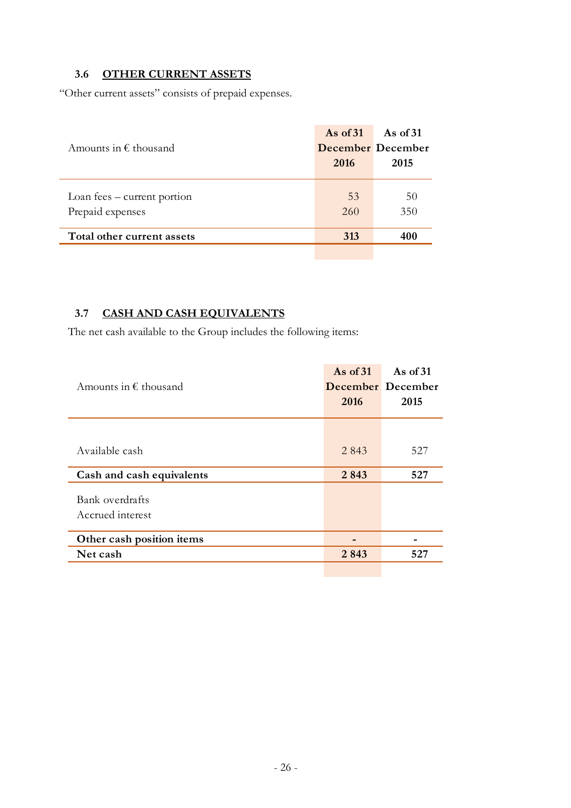# **3.6 OTHER CURRENT ASSETS**

"Other current assets" consists of prepaid expenses.

| Amounts in $\epsilon$ thousand                  | As of $31$<br><b>December</b> December<br>2016 | As of 31<br>2015 |
|-------------------------------------------------|------------------------------------------------|------------------|
| Loan fees - current portion<br>Prepaid expenses | 53<br>260                                      | 50<br>350        |
| Total other current assets                      | 313                                            | 400              |

# **3.7 CASH AND CASH EQUIVALENTS**

The net cash available to the Group includes the following items:

| Amounts in $\epsilon$ thousand      | As of $31$<br>2016 | As of $31$<br>December December<br>2015 |
|-------------------------------------|--------------------|-----------------------------------------|
| Available cash                      | 2 8 4 3            | 527                                     |
| Cash and cash equivalents           | 2843               | 527                                     |
| Bank overdrafts<br>Accrued interest |                    |                                         |
| Other cash position items           |                    |                                         |
| Net cash                            | 2843               | 527                                     |
|                                     |                    |                                         |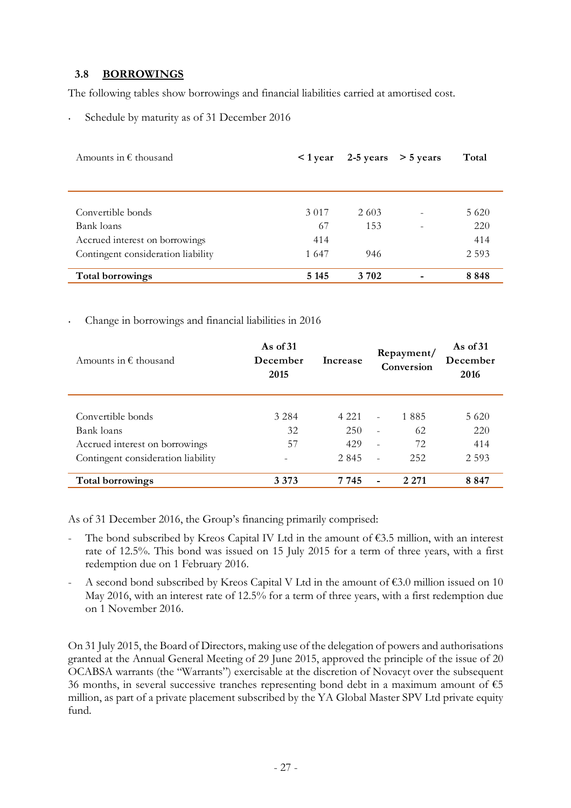#### **3.8 BORROWINGS**

The following tables show borrowings and financial liabilities carried at amortised cost.

Schedule by maturity as of 31 December 2016

| Amounts in $\epsilon$ thousand     | $<$ 1 year |       | $2-5$ years $> 5$ years | Total   |
|------------------------------------|------------|-------|-------------------------|---------|
|                                    |            |       |                         |         |
|                                    |            |       |                         |         |
|                                    |            |       |                         |         |
| Convertible bonds                  | 3 0 1 7    | 2 603 |                         | 5 6 2 0 |
| Bank loans                         | 67         | 153   |                         | 220     |
| Accrued interest on borrowings     | 414        |       |                         | 414     |
| Contingent consideration liability | 1647       | 946   |                         | 2 5 9 3 |
|                                    |            |       |                         |         |
| Total borrowings                   | 5 1 4 5    | 3 702 |                         | 8848    |

#### • Change in borrowings and financial liabilities in 2016

| Amounts in $\epsilon$ thousand     | As of $31$<br>December<br>Increase<br>2015 |         |                          | Repayment/<br>Conversion | As of $31$<br>December<br>2016 |  |
|------------------------------------|--------------------------------------------|---------|--------------------------|--------------------------|--------------------------------|--|
| Convertible bonds                  | 3 2 8 4                                    | 4 2 2 1 | $\overline{\phantom{a}}$ | 1 885                    | 5 6 2 0                        |  |
| Bank loans                         | 32                                         | 250     | $\overline{\phantom{a}}$ | 62                       | 220                            |  |
| Accrued interest on borrowings     | 57                                         | 429     | $\overline{\phantom{a}}$ | 72                       | 414                            |  |
| Contingent consideration liability |                                            | 2 8 4 5 |                          | 252                      | 2 5 9 3                        |  |
| Total borrowings                   | 3 3 7 3                                    | 7 745   |                          | 2 2 7 1                  | 8 8 4 7                        |  |

As of 31 December 2016, the Group's financing primarily comprised:

- The bond subscribed by Kreos Capital IV Ltd in the amount of  $\epsilon$ 3.5 million, with an interest rate of 12.5%. This bond was issued on 15 July 2015 for a term of three years, with a first redemption due on 1 February 2016.
- A second bond subscribed by Kreos Capital V Ltd in the amount of  $\epsilon$ 3.0 million issued on 10 May 2016, with an interest rate of 12.5% for a term of three years, with a first redemption due on 1 November 2016.

On 31 July 2015, the Board of Directors, making use of the delegation of powers and authorisations granted at the Annual General Meeting of 29 June 2015, approved the principle of the issue of 20 OCABSA warrants (the "Warrants") exercisable at the discretion of Novacyt over the subsequent 36 months, in several successive tranches representing bond debt in a maximum amount of  $65$ million, as part of a private placement subscribed by the YA Global Master SPV Ltd private equity fund.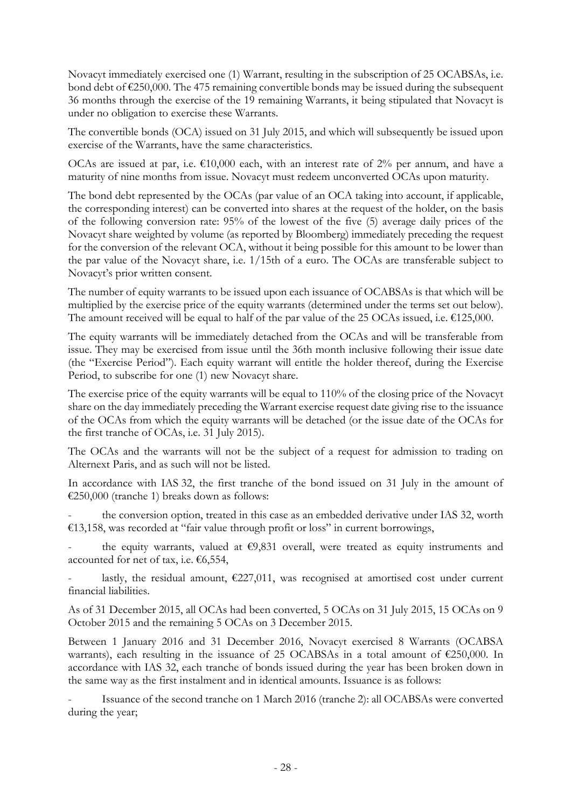Novacyt immediately exercised one (1) Warrant, resulting in the subscription of 25 OCABSAs, i.e. bond debt of  $\epsilon$ 250,000. The 475 remaining convertible bonds may be issued during the subsequent 36 months through the exercise of the 19 remaining Warrants, it being stipulated that Novacyt is under no obligation to exercise these Warrants.

The convertible bonds (OCA) issued on 31 July 2015, and which will subsequently be issued upon exercise of the Warrants, have the same characteristics.

OCAs are issued at par, i.e.  $\epsilon$ 10,000 each, with an interest rate of 2% per annum, and have a maturity of nine months from issue. Novacyt must redeem unconverted OCAs upon maturity.

The bond debt represented by the OCAs (par value of an OCA taking into account, if applicable, the corresponding interest) can be converted into shares at the request of the holder, on the basis of the following conversion rate: 95% of the lowest of the five (5) average daily prices of the Novacyt share weighted by volume (as reported by Bloomberg) immediately preceding the request for the conversion of the relevant OCA, without it being possible for this amount to be lower than the par value of the Novacyt share, i.e. 1/15th of a euro. The OCAs are transferable subject to Novacyt's prior written consent.

The number of equity warrants to be issued upon each issuance of OCABSAs is that which will be multiplied by the exercise price of the equity warrants (determined under the terms set out below). The amount received will be equal to half of the par value of the 25 OCAs issued, i.e.  $\text{\textsterling}125,000$ .

The equity warrants will be immediately detached from the OCAs and will be transferable from issue. They may be exercised from issue until the 36th month inclusive following their issue date (the "Exercise Period"). Each equity warrant will entitle the holder thereof, during the Exercise Period, to subscribe for one (1) new Novacyt share.

The exercise price of the equity warrants will be equal to 110% of the closing price of the Novacyt share on the day immediately preceding the Warrant exercise request date giving rise to the issuance of the OCAs from which the equity warrants will be detached (or the issue date of the OCAs for the first tranche of OCAs, i.e. 31 July 2015).

The OCAs and the warrants will not be the subject of a request for admission to trading on Alternext Paris, and as such will not be listed.

In accordance with IAS 32, the first tranche of the bond issued on 31 July in the amount of €250,000 (tranche 1) breaks down as follows:

the conversion option, treated in this case as an embedded derivative under IAS 32, worth €13,158, was recorded at "fair value through profit or loss" in current borrowings,

the equity warrants, valued at  $\epsilon$ 9,831 overall, were treated as equity instruments and accounted for net of tax, i.e. €6,554,

lastly, the residual amount,  $\epsilon$ 227,011, was recognised at amortised cost under current financial liabilities.

As of 31 December 2015, all OCAs had been converted, 5 OCAs on 31 July 2015, 15 OCAs on 9 October 2015 and the remaining 5 OCAs on 3 December 2015.

Between 1 January 2016 and 31 December 2016, Novacyt exercised 8 Warrants (OCABSA warrants), each resulting in the issuance of 25 OCABSAs in a total amount of €250,000. In accordance with IAS 32, each tranche of bonds issued during the year has been broken down in the same way as the first instalment and in identical amounts. Issuance is as follows:

Issuance of the second tranche on 1 March 2016 (tranche 2): all OCABSAs were converted during the year;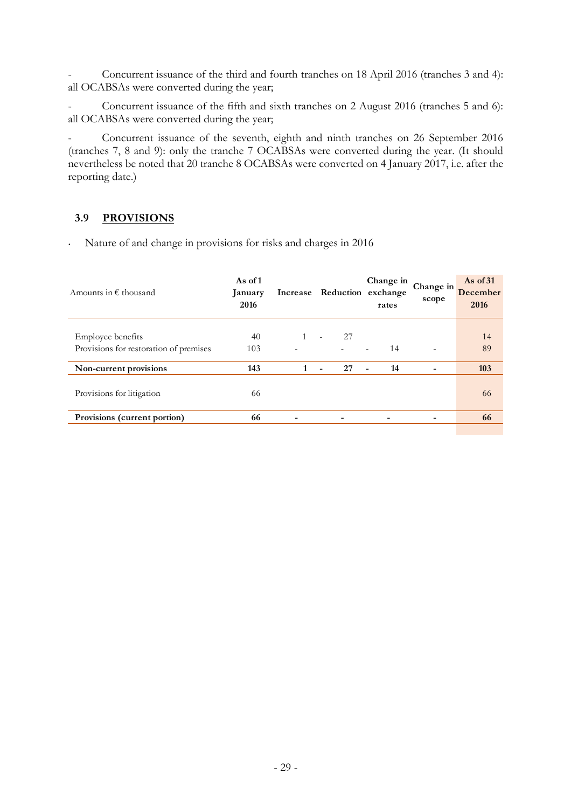- Concurrent issuance of the third and fourth tranches on 18 April 2016 (tranches 3 and 4): all OCABSAs were converted during the year;

- Concurrent issuance of the fifth and sixth tranches on 2 August 2016 (tranches 5 and 6): all OCABSAs were converted during the year;

- Concurrent issuance of the seventh, eighth and ninth tranches on 26 September 2016 (tranches 7, 8 and 9): only the tranche 7 OCABSAs were converted during the year. (It should nevertheless be noted that 20 tranche 8 OCABSAs were converted on 4 January 2017, i.e. after the reporting date.)

### **3.9 PROVISIONS**

| Amounts in $\epsilon$ thousand                              | As of 1<br>January<br>2016 | Increase                 | Reduction exchange   | Change in<br>rates             | Change in<br>scope       | As of $31$<br>December<br>2016 |
|-------------------------------------------------------------|----------------------------|--------------------------|----------------------|--------------------------------|--------------------------|--------------------------------|
| Employee benefits<br>Provisions for restoration of premises | 40<br>103                  | $\overline{\phantom{a}}$ | 27<br>÷<br>$\sim$    | 14<br>$\overline{\phantom{a}}$ | $\overline{\phantom{a}}$ | 14<br>89                       |
| Non-current provisions                                      | 143                        | 1                        | 27<br>$\blacksquare$ | 14<br>$\blacksquare$           |                          | 103                            |
| Provisions for litigation                                   | 66                         |                          |                      |                                |                          | 66                             |
| Provisions (current portion)                                | 66                         |                          |                      |                                |                          | 66                             |

• Nature of and change in provisions for risks and charges in 2016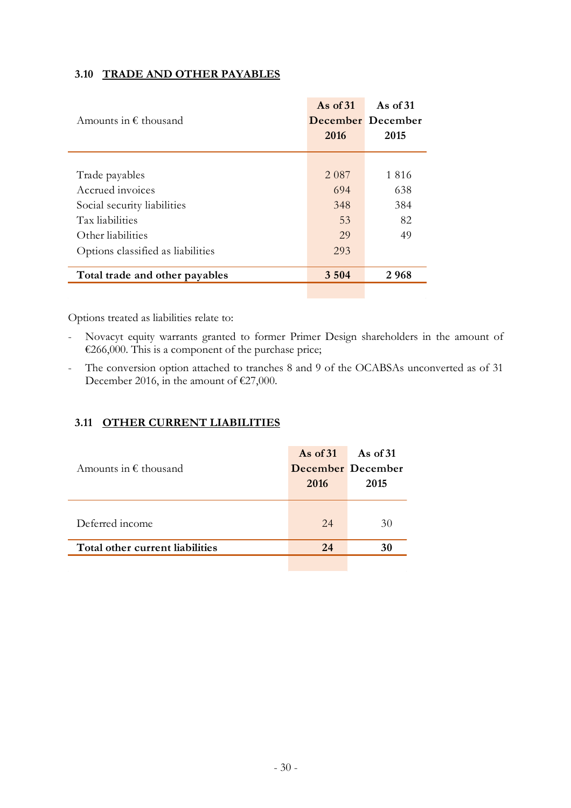| Amounts in $\epsilon$ thousand    | As of $31$<br>2016 | As of $31$<br>December December<br>2015 |
|-----------------------------------|--------------------|-----------------------------------------|
|                                   |                    |                                         |
| Trade payables                    | 2 0 8 7            | 1816                                    |
| Accrued invoices                  | 694                | 638                                     |
| Social security liabilities       | 348                | 384                                     |
| Tax liabilities                   | 53                 | 82                                      |
| Other liabilities                 | 29                 | 49                                      |
| Options classified as liabilities | 293                |                                         |
| Total trade and other payables    | 3 5 0 4            | 2968                                    |
|                                   |                    |                                         |

#### **3.10 TRADE AND OTHER PAYABLES**

Options treated as liabilities relate to:

- Novacyt equity warrants granted to former Primer Design shareholders in the amount of €266,000. This is a component of the purchase price;
- The conversion option attached to tranches 8 and 9 of the OCABSAs unconverted as of 31 December 2016, in the amount of €27,000.

#### **3.11 OTHER CURRENT LIABILITIES**

| Amounts in $\epsilon$ thousand  | As of $31$<br>2016 | As of 31<br>December December<br>2015 |
|---------------------------------|--------------------|---------------------------------------|
| Deferred income                 | 24                 | 30                                    |
| Total other current liabilities | 24                 | 30                                    |
|                                 |                    |                                       |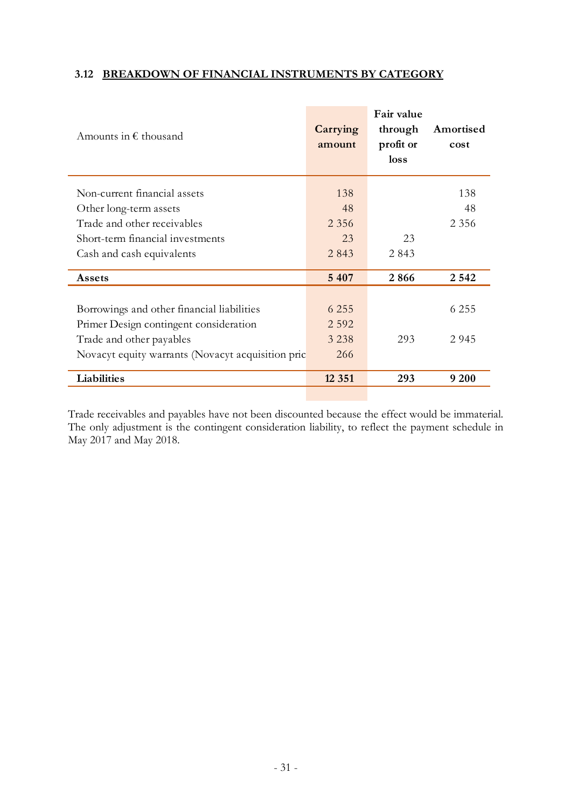#### **3.12 BREAKDOWN OF FINANCIAL INSTRUMENTS BY CATEGORY**

| Amounts in $\epsilon$ thousand                    | Carrying<br>amount | Fair value<br>through<br>profit or<br>loss | Amortised<br>cost |
|---------------------------------------------------|--------------------|--------------------------------------------|-------------------|
| Non-current financial assets                      | 138                |                                            | 138               |
| Other long-term assets                            | 48                 |                                            | 48                |
| Trade and other receivables                       | 2 3 5 6            |                                            | 2 3 5 6           |
| Short-term financial investments                  | 23                 | 23                                         |                   |
| Cash and cash equivalents                         | 2843               | 2843                                       |                   |
| Assets                                            | 5 4 0 7            | 2866                                       | 2 5 4 2           |
|                                                   |                    |                                            |                   |
| Borrowings and other financial liabilities        | 6 2 5 5            |                                            | 6 2 5 5           |
| Primer Design contingent consideration            | 2 5 9 2            |                                            |                   |
| Trade and other payables                          | 3 2 3 8            | 293                                        | 2 9 4 5           |
| Novacyt equity warrants (Novacyt acquisition pric | 266                |                                            |                   |
| Liabilities                                       | 12 3 5 1           | 293                                        | 9 200             |
|                                                   |                    |                                            |                   |

Trade receivables and payables have not been discounted because the effect would be immaterial. The only adjustment is the contingent consideration liability, to reflect the payment schedule in May 2017 and May 2018.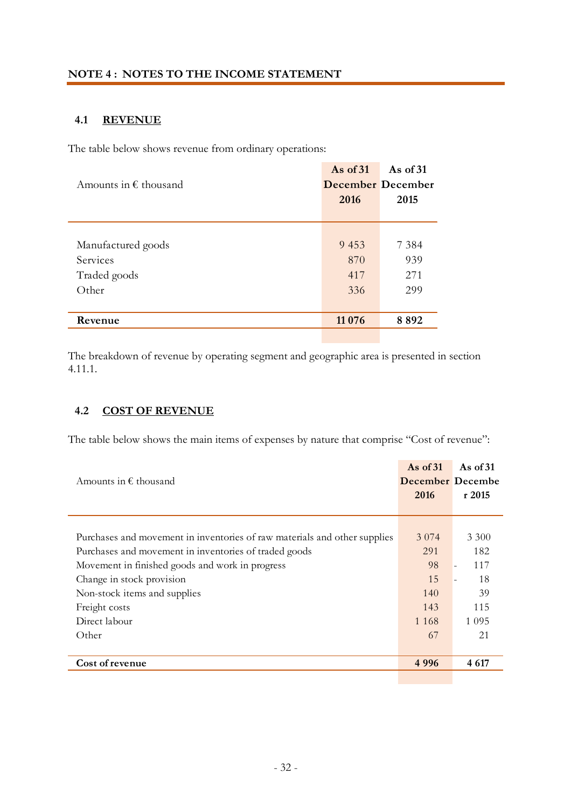#### **4.1 REVENUE**

The table below shows revenue from ordinary operations:

|                                | As of $31$               | As of $31$ |
|--------------------------------|--------------------------|------------|
| Amounts in $\epsilon$ thousand | <b>December December</b> |            |
|                                | 2016                     | 2015       |
|                                |                          |            |
|                                |                          |            |
| Manufactured goods             | 9 4 5 3                  | 7 3 8 4    |
| Services                       | 870                      | 939        |
| Traded goods                   | 417                      | 271        |
| Other                          | 336                      | 299        |
|                                |                          |            |
| Revenue                        | 11 0 76                  | 8892       |
|                                |                          |            |

The breakdown of revenue by operating segment and geographic area is presented in section 4.11.1.

#### **4.2 COST OF REVENUE**

The table below shows the main items of expenses by nature that comprise "Cost of revenue":

| Amounts in $\epsilon$ thousand                                                                                                                                                                                                                                                                | As of $31$<br>December Decembe<br>2016                    | As of $31$<br>r2015                                       |
|-----------------------------------------------------------------------------------------------------------------------------------------------------------------------------------------------------------------------------------------------------------------------------------------------|-----------------------------------------------------------|-----------------------------------------------------------|
| Purchases and movement in inventories of raw materials and other supplies<br>Purchases and movement in inventories of traded goods<br>Movement in finished goods and work in progress<br>Change in stock provision<br>Non-stock items and supplies<br>Freight costs<br>Direct labour<br>Other | 3 0 7 4<br>291<br>98<br>15<br>140<br>143<br>1 1 6 8<br>67 | 3 3 0 0<br>182<br>117<br>18<br>39<br>115<br>1 0 9 5<br>21 |
| Cost of revenue                                                                                                                                                                                                                                                                               | 4996                                                      | 4 6 17                                                    |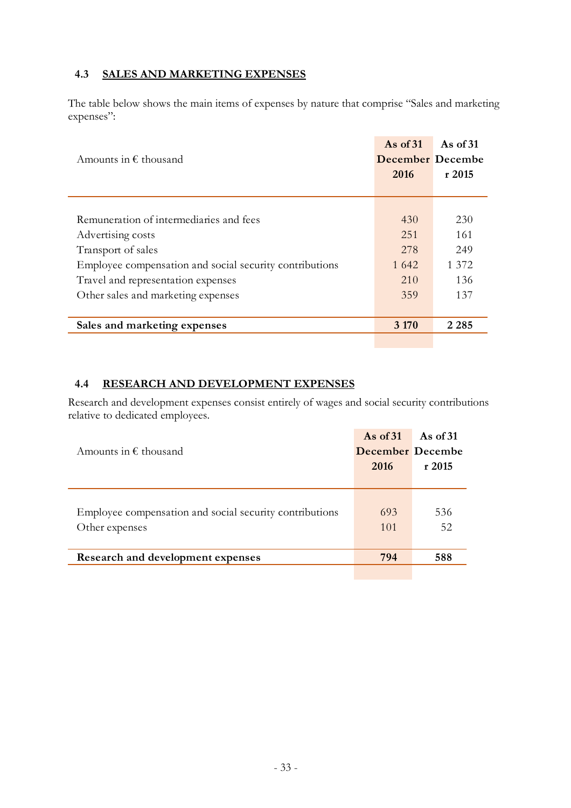## **4.3 SALES AND MARKETING EXPENSES**

The table below shows the main items of expenses by nature that comprise "Sales and marketing expenses":

| Amounts in $\epsilon$ thousand                          | As of $31$<br><b>December</b> Decembe | As of $31$ |
|---------------------------------------------------------|---------------------------------------|------------|
|                                                         | 2016                                  | r2015      |
|                                                         |                                       |            |
|                                                         |                                       |            |
| Remuneration of intermediaries and fees                 | 430                                   | 230        |
| Advertising costs                                       | 2.51                                  | 161        |
| Transport of sales                                      | 278                                   | 249        |
| Employee compensation and social security contributions | 1 642                                 | 1 372      |
| Travel and representation expenses                      | 210                                   | 136        |
| Other sales and marketing expenses                      | 359                                   | 137        |
|                                                         |                                       |            |
| Sales and marketing expenses                            | 3 1 7 0                               | 2 2 8 5    |
|                                                         |                                       |            |

#### **4.4 RESEARCH AND DEVELOPMENT EXPENSES**

Research and development expenses consist entirely of wages and social security contributions relative to dedicated employees.

|            | r2015     |
|------------|-----------|
| 693<br>101 | 536<br>52 |
| 794        | 588       |
|            | 2016      |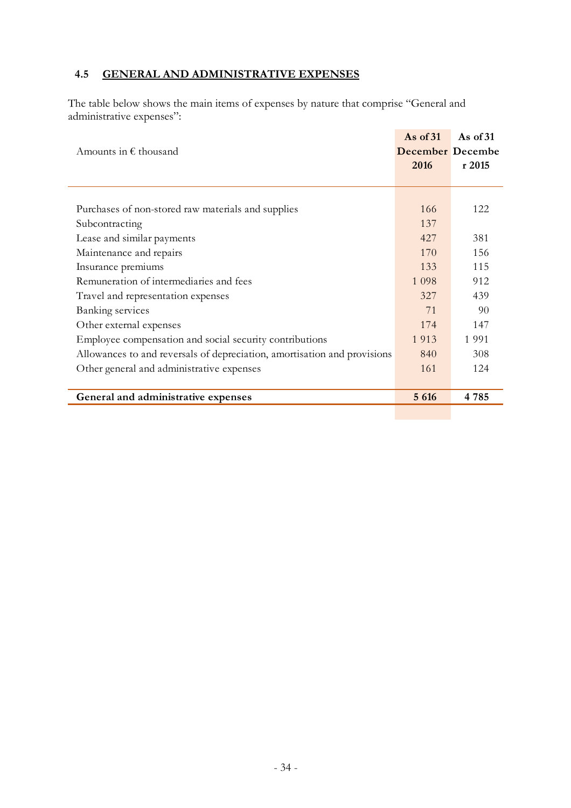# **4.5 GENERAL AND ADMINISTRATIVE EXPENSES**

The table below shows the main items of expenses by nature that comprise "General and administrative expenses":

|                                                                          | As of $31$              | As of $31$ |
|--------------------------------------------------------------------------|-------------------------|------------|
| Amounts in $\epsilon$ thousand                                           | <b>December</b> Decembe |            |
|                                                                          | 2016                    | r 2015     |
|                                                                          |                         |            |
|                                                                          |                         |            |
| Purchases of non-stored raw materials and supplies                       | 166                     | 122        |
| Subcontracting                                                           | 137                     |            |
| Lease and similar payments                                               | 427                     | 381        |
| Maintenance and repairs                                                  | 170                     | 156        |
| Insurance premiums                                                       | 133                     | 115        |
| Remuneration of intermediaries and fees                                  | 1 0 9 8                 | 912        |
| Travel and representation expenses                                       | 327                     | 439        |
| <b>Banking services</b>                                                  | 71                      | 90         |
| Other external expenses                                                  | 174                     | 147        |
| Employee compensation and social security contributions                  | 1913                    | 1 9 9 1    |
| Allowances to and reversals of depreciation, amortisation and provisions | 840                     | 308        |
| Other general and administrative expenses                                | 161                     | 124        |
|                                                                          |                         |            |
| General and administrative expenses                                      | 5 6 1 6                 | 4785       |
|                                                                          |                         |            |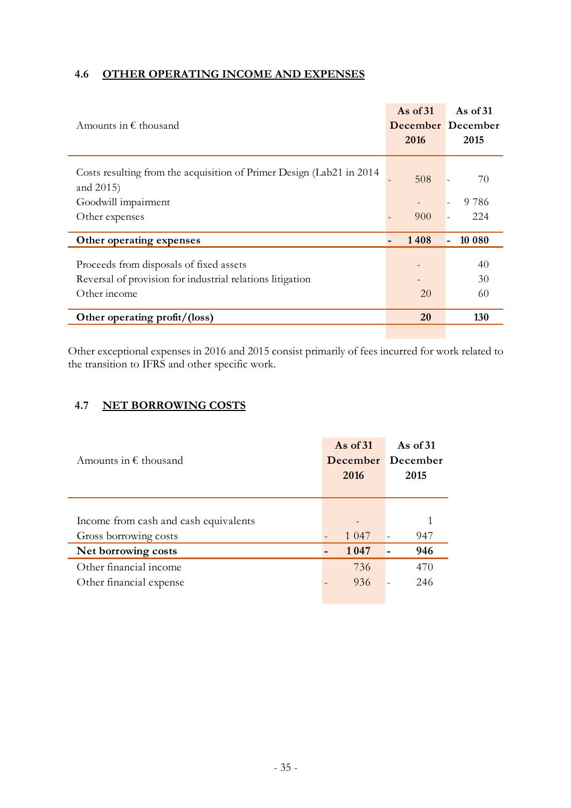# **4.6 OTHER OPERATING INCOME AND EXPENSES**

| Amounts in $\epsilon$ thousand                                                                                       | As of $31$<br>2016 | As of $31$<br>December December<br>2015 |
|----------------------------------------------------------------------------------------------------------------------|--------------------|-----------------------------------------|
| Costs resulting from the acquisition of Primer Design (Lab21 in 2014)<br>and 2015)                                   | 508                | 70                                      |
| Goodwill impairment                                                                                                  |                    | 9 7 8 6                                 |
| Other expenses                                                                                                       | 900                | 224                                     |
| Other operating expenses                                                                                             | 1408               | 10 080                                  |
| Proceeds from disposals of fixed assets<br>Reversal of provision for industrial relations litigation<br>Other income | 20                 | 40<br>30<br>60                          |
| Other operating profit/(loss)                                                                                        | <b>20</b>          | 130                                     |

Other exceptional expenses in 2016 and 2015 consist primarily of fees incurred for work related to the transition to IFRS and other specific work.

### **4.7 NET BORROWING COSTS**

| Amounts in $\epsilon$ thousand        | As of $31$<br>2016 | As of $31$<br>December December<br>2015 |
|---------------------------------------|--------------------|-----------------------------------------|
| Income from cash and cash equivalents |                    |                                         |
| Gross borrowing costs                 | 1 0 4 7            | 947                                     |
| Net borrowing costs                   | 1047               | 946                                     |
| Other financial income                | 736                | 470                                     |
| Other financial expense               | 936                | 246                                     |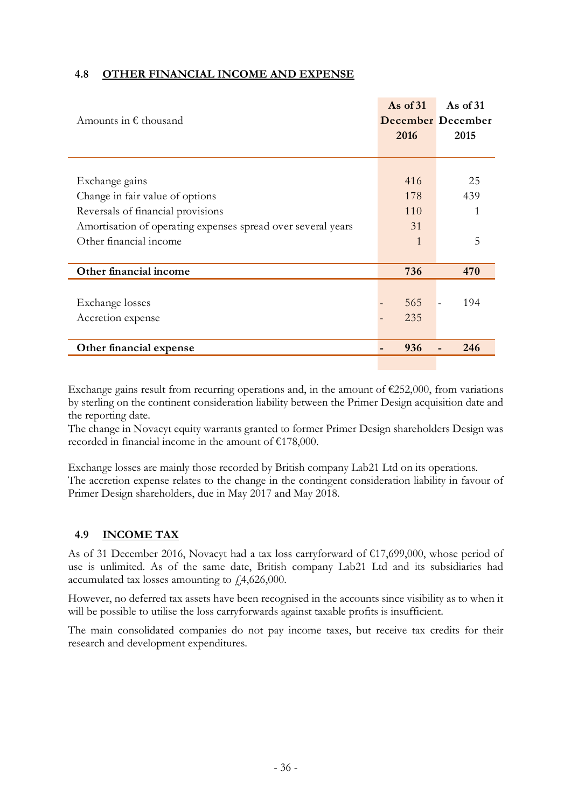### **4.8 OTHER FINANCIAL INCOME AND EXPENSE**

|                                                              | As of $31$ | As of $31$        |
|--------------------------------------------------------------|------------|-------------------|
| Amounts in $\epsilon$ thousand                               |            | December December |
|                                                              | 2016       | 2015              |
|                                                              |            |                   |
|                                                              |            |                   |
| Exchange gains                                               | 416        | 25                |
| Change in fair value of options                              | 178        | 439               |
| Reversals of financial provisions                            | 110        | 1                 |
| Amortisation of operating expenses spread over several years | 31         |                   |
| Other financial income                                       | 1          | 5                 |
|                                                              |            |                   |
| Other financial income                                       | 736        | 470               |
|                                                              |            |                   |
| Exchange losses                                              | 565        | 194               |
| Accretion expense                                            | 235        |                   |
|                                                              |            |                   |
| Other financial expense                                      | 936        | 246               |
|                                                              |            |                   |

Exchange gains result from recurring operations and, in the amount of  $\epsilon$ 252,000, from variations by sterling on the continent consideration liability between the Primer Design acquisition date and the reporting date.

The change in Novacyt equity warrants granted to former Primer Design shareholders Design was recorded in financial income in the amount of €178,000.

Exchange losses are mainly those recorded by British company Lab21 Ltd on its operations. The accretion expense relates to the change in the contingent consideration liability in favour of Primer Design shareholders, due in May 2017 and May 2018.

#### **4.9 INCOME TAX**

As of 31 December 2016, Novacyt had a tax loss carryforward of €17,699,000, whose period of use is unlimited. As of the same date, British company Lab21 Ltd and its subsidiaries had accumulated tax losses amounting to  $f$ , 4, 626, 000.

However, no deferred tax assets have been recognised in the accounts since visibility as to when it will be possible to utilise the loss carryforwards against taxable profits is insufficient.

The main consolidated companies do not pay income taxes, but receive tax credits for their research and development expenditures.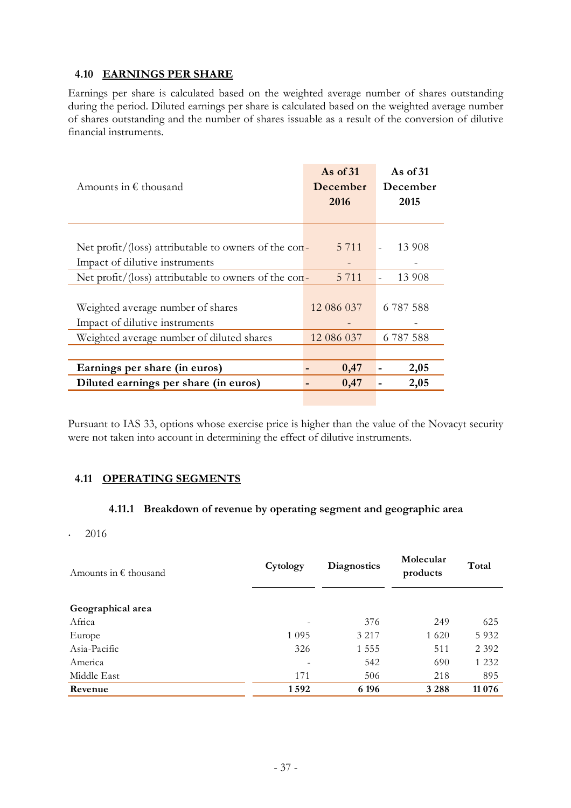#### **4.10 EARNINGS PER SHARE**

Earnings per share is calculated based on the weighted average number of shares outstanding during the period. Diluted earnings per share is calculated based on the weighted average number of shares outstanding and the number of shares issuable as a result of the conversion of dilutive financial instruments.

| Amounts in $\epsilon$ thousand                       | As of $31$<br>December<br>2016 | As of $31$<br>December<br>2015 |
|------------------------------------------------------|--------------------------------|--------------------------------|
| Net profit/(loss) attributable to owners of the con- | 5 7 1 1                        | 13 908<br>$\omega$             |
| Impact of dilutive instruments                       |                                |                                |
| Net profit/(loss) attributable to owners of the con- | 5 7 1 1                        | 13 908                         |
|                                                      |                                |                                |
| Weighted average number of shares                    | 12 086 037                     | 6 787 588                      |
| Impact of dilutive instruments                       |                                |                                |
| Weighted average number of diluted shares            | 12 086 037                     | 6 787 588                      |
|                                                      |                                |                                |
| Earnings per share (in euros)                        | 0,47                           | 2,05                           |
| Diluted earnings per share (in euros)                | 0,47                           | 2,05                           |
|                                                      |                                |                                |

Pursuant to IAS 33, options whose exercise price is higher than the value of the Novacyt security were not taken into account in determining the effect of dilutive instruments.

#### **4.11 OPERATING SEGMENTS**

#### **4.11.1 Breakdown of revenue by operating segment and geographic area**

• 2016

| Cytology                 | Diagnostics | Molecular<br>products | Total    |
|--------------------------|-------------|-----------------------|----------|
|                          |             |                       |          |
|                          | 376         | 249                   | 625      |
| 1 0 9 5                  | 3 2 1 7     | 1 6 2 0               | 5932     |
| 326                      | 1 5 5 5     | 511                   | 2 3 9 2  |
| $\overline{\phantom{a}}$ | 542         | 690                   | 1 2 3 2  |
| 171                      | 506         | 218                   | 895      |
| 1592                     | 6 19 6      | 3 2 8 8               | 11 0 7 6 |
|                          |             |                       |          |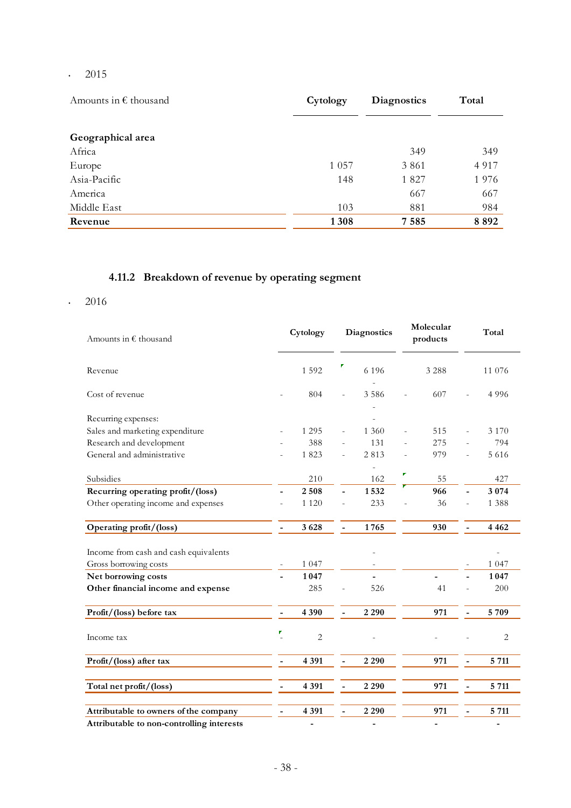•  $2015$ 

| Amounts in $\epsilon$ thousand | Cytology | <b>Diagnostics</b> | Total   |
|--------------------------------|----------|--------------------|---------|
|                                |          |                    |         |
| Geographical area              |          |                    |         |
| Africa                         |          | 349                | 349     |
| Europe                         | 1 0 5 7  | 3 8 6 1            | 4 9 1 7 |
| Asia-Pacific                   | 148      | 1827               | 1976    |
| America                        |          | 667                | 667     |
| Middle East                    | 103      | 881                | 984     |
| Revenue                        | 1308     | 7 5 8 5            | 8892    |

# **4.11.2 Breakdown of revenue by operating segment**

### •  $2016$

| Amounts in € thousand                     | Cytology       | <b>Diagnostics</b>                      | Molecular<br>products | Total                                   |
|-------------------------------------------|----------------|-----------------------------------------|-----------------------|-----------------------------------------|
| Revenue                                   | 1592           | 6 1 9 6                                 | 3 2 8 8               | 11 076                                  |
| Cost of revenue                           | 804            | 3586<br>ä,                              | 607                   | 4996                                    |
| Recurring expenses:                       |                |                                         |                       |                                         |
| Sales and marketing expenditure           | 1 2 9 5        | 1 3 6 0                                 | 515                   | 3 1 7 0                                 |
| Research and development                  | 388            | 131                                     | 275                   | 794                                     |
| General and administrative                | 1823           | 2813                                    | 979                   | 5 6 1 6<br>÷,                           |
| Subsidies                                 | 210            | 162                                     | Г<br>55               | 427                                     |
| Recurring operating profit/(loss)         | 2508           | 1532<br>$\overline{\phantom{a}}$        | 966                   | 3 0 7 4                                 |
| Other operating income and expenses       | 1 1 2 0        | 233<br>÷,                               | 36                    | 1 3 8 8<br>L,                           |
| Operating profit/(loss)                   | 3628           | 1765<br>$\blacksquare$                  | 930                   | 4 4 6 2<br>$\overline{a}$               |
| Income from cash and cash equivalents     |                |                                         |                       | ÷,                                      |
| Gross borrowing costs                     | 1 0 4 7        |                                         |                       | 1 0 4 7                                 |
| Net borrowing costs                       | 1047           |                                         |                       | 1047                                    |
| Other financial income and expense        | 285            | 526                                     | 41                    | 200                                     |
| Profit/(loss) before tax                  | 4 3 9 0        | 2 2 9 0<br>$\overline{\phantom{a}}$     | 971                   | 5709<br>$\overline{a}$                  |
| Income tax                                | $\overline{c}$ |                                         |                       | 2                                       |
| Profit/(loss) after tax                   | 4 3 9 1        | 2 2 9 0                                 | 971                   | 5 7 11                                  |
| Total net profit/(loss)                   | 4 3 9 1        | 2 2 9 0                                 | 971                   | 5 7 1 1<br>$\overline{\phantom{0}}$     |
| Attributable to owners of the company     | 4 3 9 1        | 2 2 9 0<br>$\qquad \qquad \blacksquare$ | 971                   | 5 7 1 1<br>$\qquad \qquad \blacksquare$ |
| Attributable to non-controlling interests |                |                                         |                       |                                         |

Attributable to non-controlling interests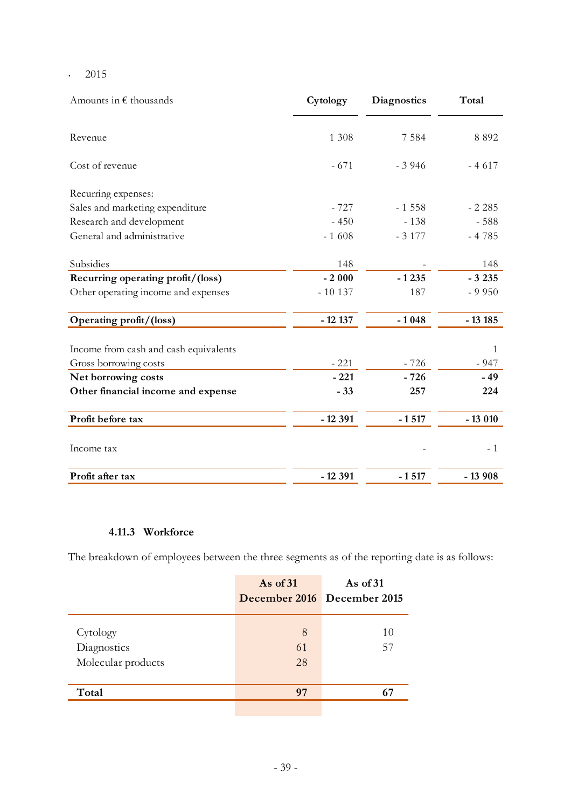• 2015

| Amounts in $\epsilon$ thousands       | Cytology | <b>Diagnostics</b> | Total    |
|---------------------------------------|----------|--------------------|----------|
| Revenue                               | 1 3 0 8  | 7 5 8 4            | 8 8 9 2  |
| Cost of revenue                       | $-671$   | $-3946$            | $-4617$  |
| Recurring expenses:                   |          |                    |          |
| Sales and marketing expenditure       | $-727$   | $-1558$            | $-2.285$ |
| Research and development              | $-450$   | $-138$             | $-588$   |
| General and administrative            | $-1608$  | $-3177$            | $-4785$  |
| Subsidies                             | 148      |                    | 148      |
| Recurring operating profit/(loss)     | $-2000$  | $-1235$            | $-3235$  |
| Other operating income and expenses   | $-10137$ | 187                | $-9950$  |
| Operating profit/(loss)               | $-12137$ | $-1048$            | $-13185$ |
| Income from cash and cash equivalents |          |                    | 1        |
| Gross borrowing costs                 | $-221$   | $-726$             | $-947$   |
| Net borrowing costs                   | $-221$   | $-726$             | $-49$    |
| Other financial income and expense    | $-33$    | 257                | 224      |
| Profit before tax                     | $-12391$ | $-1517$            | $-13010$ |
| Income tax                            |          |                    | $-1$     |
| Profit after tax                      | $-12391$ | $-1517$            | $-13908$ |

#### **4.11.3 Workforce**

The breakdown of employees between the three segments as of the reporting date is as follows:

|                    | As of $31$ | As of $31$<br>December 2016 December 2015 |
|--------------------|------------|-------------------------------------------|
| Cytology           | 8          | 10                                        |
| Diagnostics        | 61         | 57                                        |
| Molecular products | 28         |                                           |
|                    |            |                                           |
| Total              | 97         | 67                                        |
|                    |            |                                           |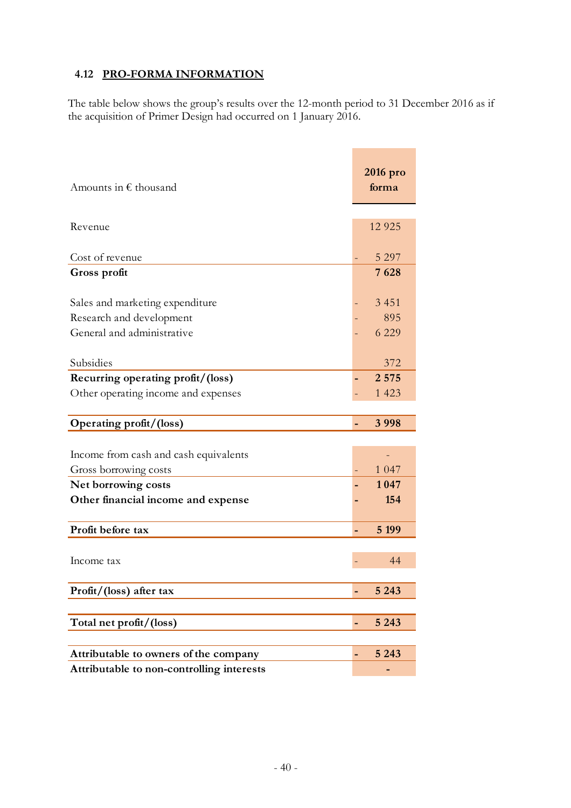# **4.12 PRO-FORMA INFORMATION**

The table below shows the group's results over the 12-month period to 31 December 2016 as if the acquisition of Primer Design had occurred on 1 January 2016.

| Amounts in $\epsilon$ thousand                                                            | 2016 pro<br>forma         |
|-------------------------------------------------------------------------------------------|---------------------------|
| Revenue                                                                                   | 12 9 25                   |
| Cost of revenue                                                                           | 5 2 9 7                   |
| Gross profit                                                                              | 7628                      |
| Sales and marketing expenditure<br>Research and development<br>General and administrative | 3 4 5 1<br>895<br>6 2 2 9 |
| Subsidies                                                                                 | 372                       |
| Recurring operating profit/(loss)                                                         | 2 5 7 5                   |
| Other operating income and expenses                                                       | 1 4 2 3                   |
| Operating profit/(loss)                                                                   | 3 9 9 8                   |
|                                                                                           |                           |
| Income from cash and cash equivalents<br>Gross borrowing costs                            | 1 0 4 7                   |
| Net borrowing costs                                                                       | 1047                      |
| Other financial income and expense                                                        | 154                       |
| Profit before tax                                                                         | 5 1 9 9                   |
| Income tax                                                                                | 44                        |
| Profit/(loss) after tax                                                                   | 5 2 4 3                   |
|                                                                                           |                           |
| Total net profit/(loss)                                                                   | 5 2 4 3<br>-              |
|                                                                                           |                           |
| Attributable to owners of the company<br>Attributable to non-controlling interests        | 5 2 4 3                   |
|                                                                                           |                           |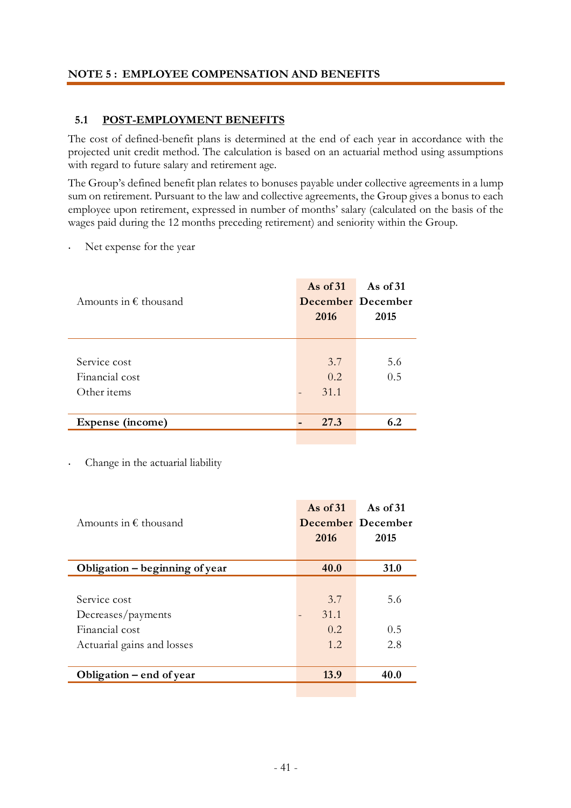#### **NOTE 5 : EMPLOYEE COMPENSATION AND BENEFITS**

#### **5.1 POST-EMPLOYMENT BENEFITS**

The cost of defined-benefit plans is determined at the end of each year in accordance with the projected unit credit method. The calculation is based on an actuarial method using assumptions with regard to future salary and retirement age.

The Group's defined benefit plan relates to bonuses payable under collective agreements in a lump sum on retirement. Pursuant to the law and collective agreements, the Group gives a bonus to each employee upon retirement, expressed in number of months' salary (calculated on the basis of the wages paid during the 12 months preceding retirement) and seniority within the Group.

Net expense for the year

| Amounts in $\epsilon$ thousand                | As of $31$<br>2016 | As of $31$<br>December December<br>2015 |
|-----------------------------------------------|--------------------|-----------------------------------------|
| Service cost<br>Financial cost<br>Other items | 3.7<br>0.2<br>31.1 | 5.6<br>0.5                              |
| Expense (income)                              | 27.3               | 6.2                                     |

<sup>•</sup> Change in the actuarial liability

|                                | As of $31$ | As of $31$        |
|--------------------------------|------------|-------------------|
| Amounts in $\epsilon$ thousand |            | December December |
|                                | 2016       | 2015              |
|                                |            |                   |
| Obligation - beginning of year | 40.0       | <b>31.0</b>       |
|                                |            |                   |
| Service cost                   | 3.7        | 5.6               |
| Decreases/payments             | 31.1       |                   |
| Financial cost                 | 0.2.       | 0.5               |
| Actuarial gains and losses     | 1.2.       | 2.8               |
|                                |            |                   |
| Obligation – end of year       | 13.9       | 40.0              |
|                                |            |                   |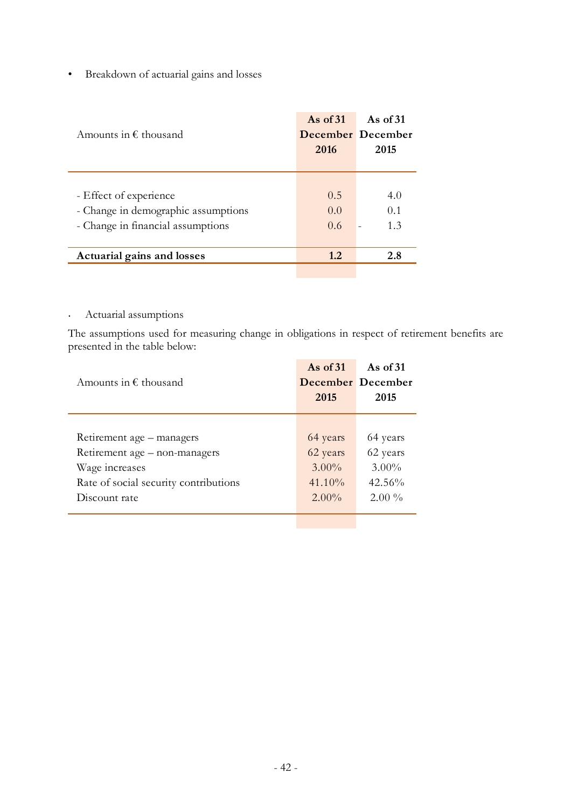# • Breakdown of actuarial gains and losses

| Amounts in $\epsilon$ thousand                                                                     | As of $31$<br>2016 | As of $31$<br><b>December</b> December<br>2015 |
|----------------------------------------------------------------------------------------------------|--------------------|------------------------------------------------|
| - Effect of experience<br>- Change in demographic assumptions<br>- Change in financial assumptions | 0.5<br>0.0<br>0.6  | 4.0<br>0.1<br>1.3                              |
| <b>Actuarial gains and losses</b>                                                                  | 1.2                | 2.8                                            |

### • Actuarial assumptions

The assumptions used for measuring change in obligations in respect of retirement benefits are presented in the table below:

| Retirement age – managers<br>64 years<br>64 years<br>Retirement age - non-managers<br>62 years<br>62 years<br>$3.00\%$<br>Wage increases<br>$3.00\%$<br>41.10%<br>$42.56\%$<br>Rate of social security contributions<br>$2.00\%$<br>$2.00\%$<br>Discount rate | Amounts in $\epsilon$ thousand | As of $31$<br>2015 | As of $31$<br>December December<br>2015 |
|---------------------------------------------------------------------------------------------------------------------------------------------------------------------------------------------------------------------------------------------------------------|--------------------------------|--------------------|-----------------------------------------|
|                                                                                                                                                                                                                                                               |                                |                    |                                         |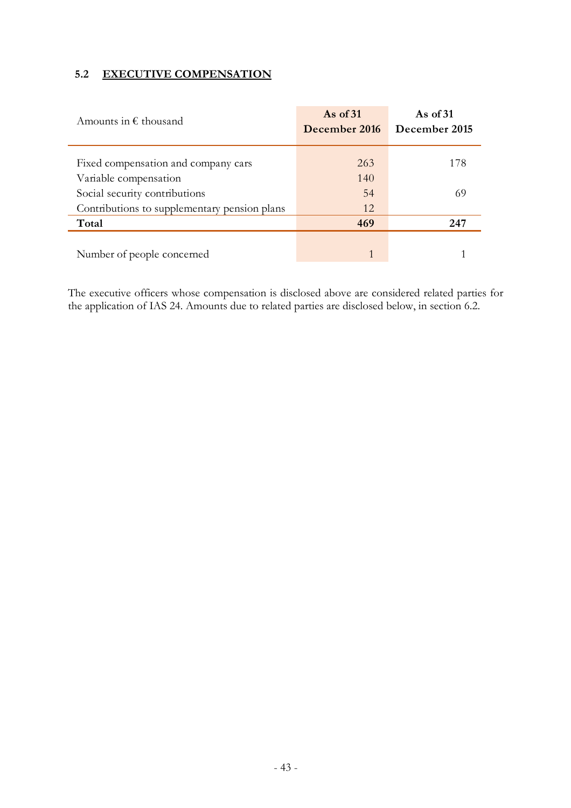## **5.2 EXECUTIVE COMPENSATION**

| Amounts in $\epsilon$ thousand               | As of $31$<br>December 2016 | As of $31$<br>December 2015 |
|----------------------------------------------|-----------------------------|-----------------------------|
| Fixed compensation and company cars          | 263                         | 178                         |
| Variable compensation                        | 140                         |                             |
| Social security contributions                | 54                          | 69                          |
| Contributions to supplementary pension plans | 12                          |                             |
| Total                                        | 469                         | 247                         |
|                                              |                             |                             |
| Number of people concerned                   |                             |                             |

The executive officers whose compensation is disclosed above are considered related parties for the application of IAS 24. Amounts due to related parties are disclosed below, in section 6.2.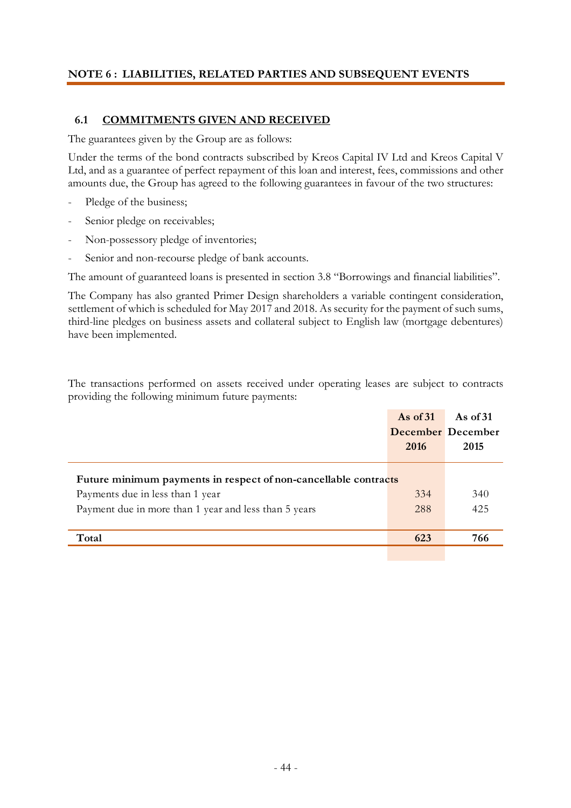#### **NOTE 6 : LIABILITIES, RELATED PARTIES AND SUBSEQUENT EVENTS**

#### **6.1 COMMITMENTS GIVEN AND RECEIVED**

The guarantees given by the Group are as follows:

Under the terms of the bond contracts subscribed by Kreos Capital IV Ltd and Kreos Capital V Ltd, and as a guarantee of perfect repayment of this loan and interest, fees, commissions and other amounts due, the Group has agreed to the following guarantees in favour of the two structures:

- Pledge of the business;
- Senior pledge on receivables;
- Non-possessory pledge of inventories;
- Senior and non-recourse pledge of bank accounts.

The amount of guaranteed loans is presented in section 3.8 "Borrowings and financial liabilities".

The Company has also granted Primer Design shareholders a variable contingent consideration, settlement of which is scheduled for May 2017 and 2018. As security for the payment of such sums, third-line pledges on business assets and collateral subject to English law (mortgage debentures) have been implemented.

The transactions performed on assets received under operating leases are subject to contracts providing the following minimum future payments:

|                                                                 | As of $31$               | As of $31$ |
|-----------------------------------------------------------------|--------------------------|------------|
|                                                                 | <b>December</b> December |            |
|                                                                 | 2016                     | 2015       |
| Future minimum payments in respect of non-cancellable contracts |                          |            |
| Payments due in less than 1 year                                | 334                      | 340        |
| Payment due in more than 1 year and less than 5 years           | 288                      | 425        |
| Total                                                           | 623                      | 766        |
|                                                                 |                          |            |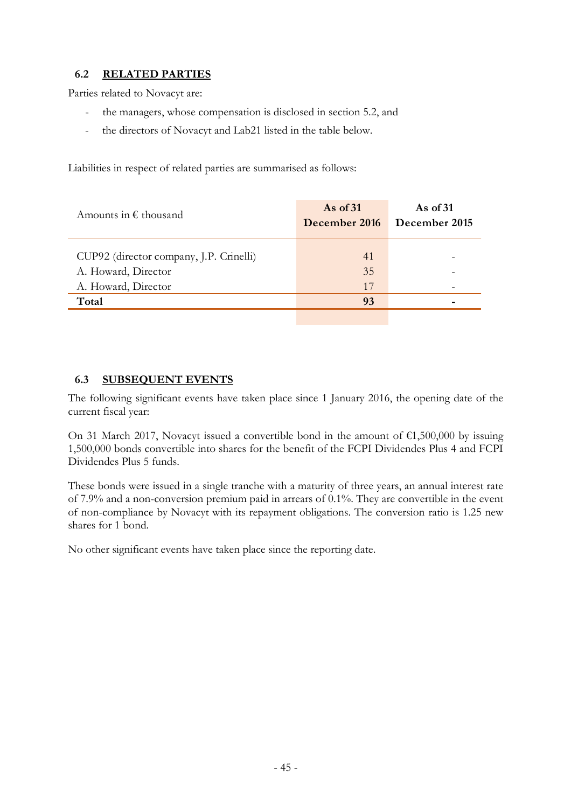## **6.2 RELATED PARTIES**

Parties related to Novacyt are:

- the managers, whose compensation is disclosed in section 5.2, and
- the directors of Novacyt and Lab21 listed in the table below.

Liabilities in respect of related parties are summarised as follows:

| Amounts in $\epsilon$ thousand          | As of $31$<br>December 2016 | As of $31$<br>December 2015 |
|-----------------------------------------|-----------------------------|-----------------------------|
|                                         |                             |                             |
| CUP92 (director company, J.P. Crinelli) | 41                          |                             |
| A. Howard, Director                     | 35                          |                             |
| A. Howard, Director                     | 17                          |                             |
| Total                                   | 93                          |                             |
|                                         |                             |                             |

#### **6.3 SUBSEQUENT EVENTS**

The following significant events have taken place since 1 January 2016, the opening date of the current fiscal year:

On 31 March 2017, Novacyt issued a convertible bond in the amount of  $\epsilon$ 1,500,000 by issuing 1,500,000 bonds convertible into shares for the benefit of the FCPI Dividendes Plus 4 and FCPI Dividendes Plus 5 funds.

These bonds were issued in a single tranche with a maturity of three years, an annual interest rate of 7.9% and a non-conversion premium paid in arrears of 0.1%. They are convertible in the event of non-compliance by Novacyt with its repayment obligations. The conversion ratio is 1.25 new shares for 1 bond.

No other significant events have taken place since the reporting date.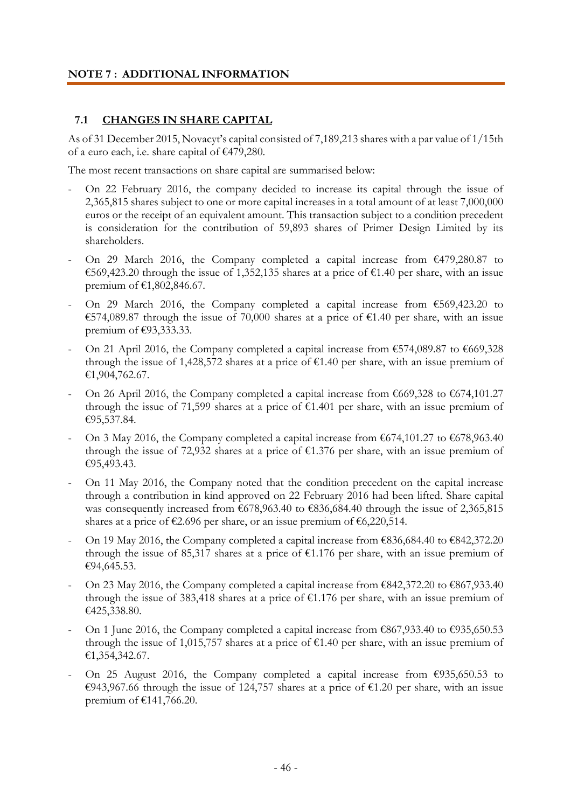## **NOTE 7 : ADDITIONAL INFORMATION**

#### **7.1 CHANGES IN SHARE CAPITAL**

As of 31 December 2015, Novacyt's capital consisted of 7,189,213 shares with a par value of 1/15th of a euro each, i.e. share capital of €479,280.

The most recent transactions on share capital are summarised below:

- On 22 February 2016, the company decided to increase its capital through the issue of 2,365,815 shares subject to one or more capital increases in a total amount of at least 7,000,000 euros or the receipt of an equivalent amount. This transaction subject to a condition precedent is consideration for the contribution of 59,893 shares of Primer Design Limited by its shareholders.
- On 29 March 2016, the Company completed a capital increase from  $\epsilon$ 479,280.87 to €569,423.20 through the issue of 1,352,135 shares at a price of €1.40 per share, with an issue premium of €1,802,846.67.
- On 29 March 2016, the Company completed a capital increase from  $\epsilon$ 569,423.20 to €574,089.87 through the issue of 70,000 shares at a price of €1.40 per share, with an issue premium of €93,333.33.
- On 21 April 2016, the Company completed a capital increase from  $\epsilon$ 574,089.87 to  $\epsilon$ 669,328 through the issue of 1,428,572 shares at a price of  $\epsilon$ 1.40 per share, with an issue premium of €1,904,762.67.
- On 26 April 2016, the Company completed a capital increase from  $\epsilon$ 669,328 to  $\epsilon$ 674,101.27 through the issue of 71,599 shares at a price of  $\epsilon$ 1.401 per share, with an issue premium of €95,537.84.
- On 3 May 2016, the Company completed a capital increase from  $\epsilon$ 674,101.27 to  $\epsilon$ 678,963.40 through the issue of 72,932 shares at a price of  $\epsilon$ 1.376 per share, with an issue premium of €95,493.43.
- On 11 May 2016, the Company noted that the condition precedent on the capital increase through a contribution in kind approved on 22 February 2016 had been lifted. Share capital was consequently increased from €678,963.40 to €836,684.40 through the issue of 2,365,815 shares at a price of  $\epsilon$ 2.696 per share, or an issue premium of  $\epsilon$ 6,220,514.
- On 19 May 2016, the Company completed a capital increase from  $\epsilon$ 836,684.40 to  $\epsilon$ 842,372.20 through the issue of 85,317 shares at a price of  $\epsilon$ 1.176 per share, with an issue premium of €94,645.53.
- On 23 May 2016, the Company completed a capital increase from  $\epsilon$ 842,372.20 to  $\epsilon$ 867,933.40 through the issue of 383,418 shares at a price of  $\epsilon$ 1.176 per share, with an issue premium of €425,338.80.
- On 1 June 2016, the Company completed a capital increase from  $\epsilon$ 867,933.40 to  $\epsilon$ 935,650.53 through the issue of 1,015,757 shares at a price of  $\epsilon$ 1.40 per share, with an issue premium of €1,354,342.67.
- On 25 August 2016, the Company completed a capital increase from  $\epsilon$ 935,650.53 to €943,967.66 through the issue of 124,757 shares at a price of €1.20 per share, with an issue premium of €141,766.20.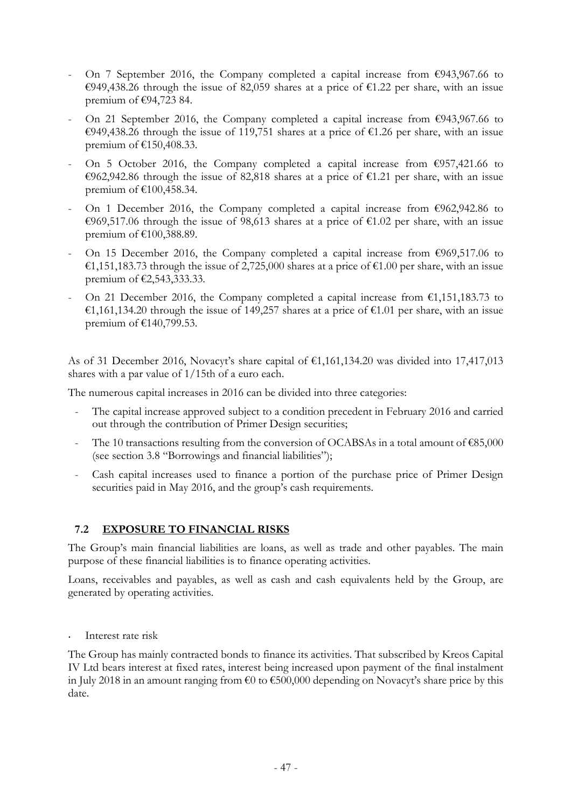- On 7 September 2016, the Company completed a capital increase from  $\epsilon$ 943,967.66 to €949,438.26 through the issue of 82,059 shares at a price of €1.22 per share, with an issue premium of €94,723 84.
- On 21 September 2016, the Company completed a capital increase from  $\epsilon$ 943,967.66 to €949,438.26 through the issue of 119,751 shares at a price of €1.26 per share, with an issue premium of €150,408.33.
- On 5 October 2016, the Company completed a capital increase from  $\epsilon$ 957,421.66 to €962,942.86 through the issue of 82,818 shares at a price of €1.21 per share, with an issue premium of €100,458.34.
- On 1 December 2016, the Company completed a capital increase from  $\epsilon$ 962,942.86 to €969,517.06 through the issue of 98,613 shares at a price of €1.02 per share, with an issue premium of €100,388.89.
- On 15 December 2016, the Company completed a capital increase from  $\epsilon$ 969,517.06 to €1,151,183.73 through the issue of 2,725,000 shares at a price of €1.00 per share, with an issue premium of €2,543,333.33.
- On 21 December 2016, the Company completed a capital increase from  $\epsilon$ 1,151,183.73 to €1,161,134.20 through the issue of 149,257 shares at a price of €1.01 per share, with an issue premium of €140,799.53.

As of 31 December 2016, Novacyt's share capital of  $\epsilon$ 1,161,134.20 was divided into 17,417,013 shares with a par value of 1/15th of a euro each.

The numerous capital increases in 2016 can be divided into three categories:

- The capital increase approved subject to a condition precedent in February 2016 and carried out through the contribution of Primer Design securities;
- The 10 transactions resulting from the conversion of OCABSAs in a total amount of  $\epsilon$ 85,000 (see section 3.8 "Borrowings and financial liabilities");
- Cash capital increases used to finance a portion of the purchase price of Primer Design securities paid in May 2016, and the group's cash requirements.

# **7.2 EXPOSURE TO FINANCIAL RISKS**

The Group's main financial liabilities are loans, as well as trade and other payables. The main purpose of these financial liabilities is to finance operating activities.

Loans, receivables and payables, as well as cash and cash equivalents held by the Group, are generated by operating activities.

Interest rate risk

The Group has mainly contracted bonds to finance its activities. That subscribed by Kreos Capital IV Ltd bears interest at fixed rates, interest being increased upon payment of the final instalment in July 2018 in an amount ranging from €0 to €500,000 depending on Novacyt's share price by this date.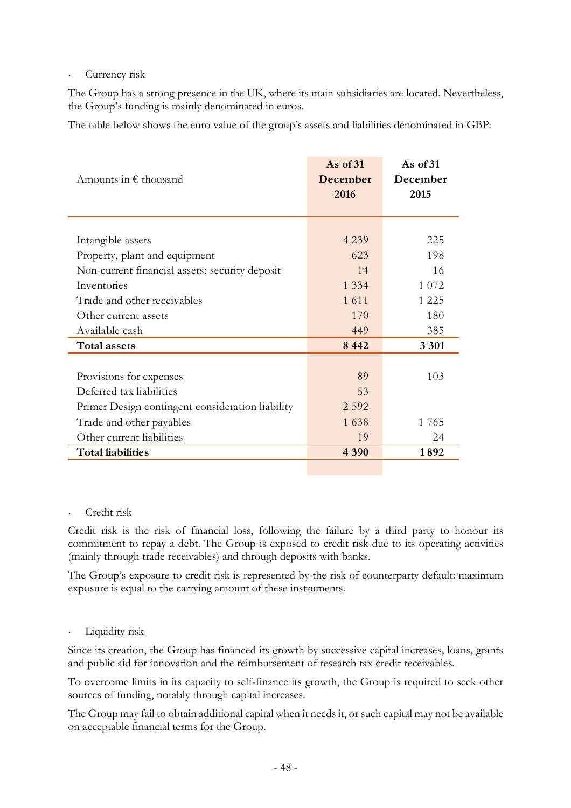#### Currency risk

The Group has a strong presence in the UK, where its main subsidiaries are located. Nevertheless, the Group's funding is mainly denominated in euros.

The table below shows the euro value of the group's assets and liabilities denominated in GBP:

| Amounts in $\epsilon$ thousand                   | As of $31$<br>December<br>2016 | As of $31$<br>December<br>2015 |
|--------------------------------------------------|--------------------------------|--------------------------------|
|                                                  | 4 2 3 9                        | 225                            |
| Intangible assets                                |                                |                                |
| Property, plant and equipment                    | 623                            | 198                            |
| Non-current financial assets: security deposit   | 14                             | 16                             |
| Inventories                                      | 1 3 3 4                        | 1 0 7 2                        |
| Trade and other receivables                      | 1 6 1 1                        | 1 2 2 5                        |
| Other current assets                             | 170                            | 180                            |
| Available cash                                   | 449                            | 385                            |
| <b>Total assets</b>                              | 8 4 4 2                        | 3 3 0 1                        |
|                                                  |                                |                                |
| Provisions for expenses                          | 89                             | 103                            |
| Deferred tax liabilities                         | 53                             |                                |
| Primer Design contingent consideration liability | 2 5 9 2                        |                                |
| Trade and other payables                         | 1638                           | 1765                           |
| Other current liabilities                        | 19                             | 24                             |
| <b>Total liabilities</b>                         | 4 3 9 0                        | 1892                           |

#### • Credit risk

Credit risk is the risk of financial loss, following the failure by a third party to honour its commitment to repay a debt. The Group is exposed to credit risk due to its operating activities (mainly through trade receivables) and through deposits with banks.

The Group's exposure to credit risk is represented by the risk of counterparty default: maximum exposure is equal to the carrying amount of these instruments.

#### Liquidity risk

Since its creation, the Group has financed its growth by successive capital increases, loans, grants and public aid for innovation and the reimbursement of research tax credit receivables.

To overcome limits in its capacity to self-finance its growth, the Group is required to seek other sources of funding, notably through capital increases.

The Group may fail to obtain additional capital when it needs it, or such capital may not be available on acceptable financial terms for the Group.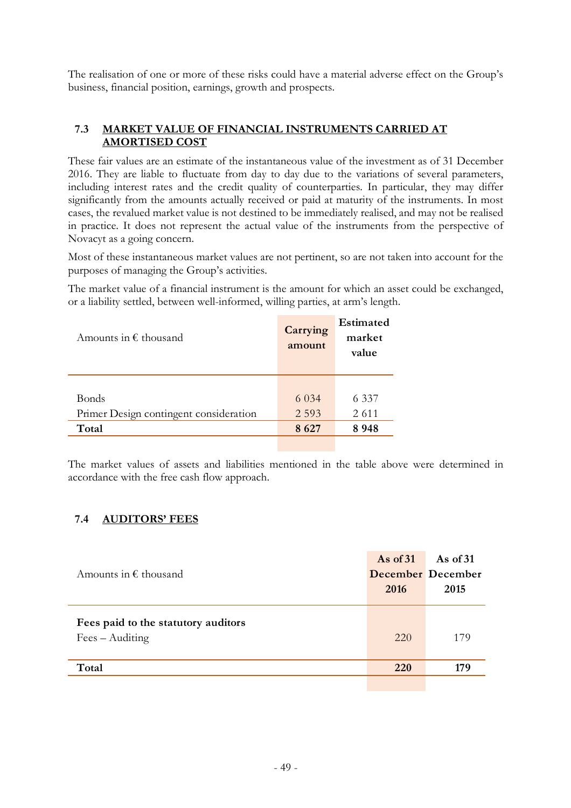The realisation of one or more of these risks could have a material adverse effect on the Group's business, financial position, earnings, growth and prospects.

#### **7.3 MARKET VALUE OF FINANCIAL INSTRUMENTS CARRIED AT AMORTISED COST**

These fair values are an estimate of the instantaneous value of the investment as of 31 December 2016. They are liable to fluctuate from day to day due to the variations of several parameters, including interest rates and the credit quality of counterparties. In particular, they may differ significantly from the amounts actually received or paid at maturity of the instruments. In most cases, the revalued market value is not destined to be immediately realised, and may not be realised in practice. It does not represent the actual value of the instruments from the perspective of Novacyt as a going concern.

Most of these instantaneous market values are not pertinent, so are not taken into account for the purposes of managing the Group's activities.

The market value of a financial instrument is the amount for which an asset could be exchanged, or a liability settled, between well-informed, willing parties, at arm's length.

| Amounts in $\epsilon$ thousand         | Carrying<br>amount | Estimated<br>market<br>value |
|----------------------------------------|--------------------|------------------------------|
|                                        |                    |                              |
| <b>Bonds</b>                           | 6 0 3 4            | 6 3 3 7                      |
| Primer Design contingent consideration | 2 5 9 3            | 2 6 1 1                      |
| Total                                  | 8627               | 8948                         |
|                                        |                    |                              |

The market values of assets and liabilities mentioned in the table above were determined in accordance with the free cash flow approach.

#### **7.4 AUDITORS' FEES**

| Amounts in $\epsilon$ thousand                                  | As of $31$<br>2016 | As of $31$<br><b>December</b> December<br>2015 |
|-----------------------------------------------------------------|--------------------|------------------------------------------------|
| Fees paid to the statutory auditors<br>$Fees - \text{Auditing}$ | 220                | 179                                            |
| Total                                                           | <b>220</b>         | 179                                            |
|                                                                 |                    |                                                |